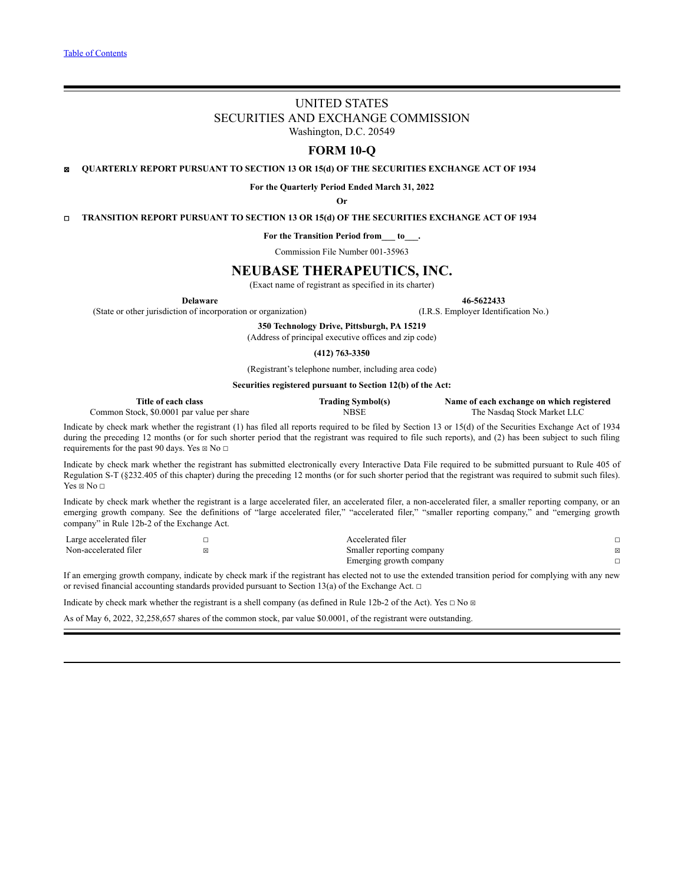# UNITED STATES SECURITIES AND EXCHANGE COMMISSION Washington, D.C. 20549

# **FORM 10-Q**

☒ **QUARTERLY REPORT PURSUANT TO SECTION 13 OR 15(d) OF THE SECURITIES EXCHANGE ACT OF 1934**

**For the Quarterly Period Ended March 31, 2022**

**Or**

☐ **TRANSITION REPORT PURSUANT TO SECTION 13 OR 15(d) OF THE SECURITIES EXCHANGE ACT OF 1934**

**For the Transition Period from\_\_\_ to\_\_\_.**

Commission File Number 001-35963

# **NEUBASE THERAPEUTICS, INC.**

(Exact name of registrant as specified in its charter)

**Delaware 46-5622433**

(State or other jurisdiction of incorporation or organization) (I.R.S. Employer Identification No.)

**350 Technology Drive, Pittsburgh, PA 15219**

(Address of principal executive offices and zip code)

**(412) 763-3350**

(Registrant's telephone number, including area code)

**Securities registered pursuant to Section 12(b) of the Act:**

| Title of each class                        | <b>Trading Symbol(s)</b> | Name of each exchange on which registered |
|--------------------------------------------|--------------------------|-------------------------------------------|
| Common Stock, \$0.0001 par value per share | NBSE                     | The Nasdag Stock Market LLC               |

Indicate by check mark whether the registrant (1) has filed all reports required to be filed by Section 13 or 15(d) of the Securities Exchange Act of 1934 during the preceding 12 months (or for such shorter period that the registrant was required to file such reports), and (2) has been subject to such filing requirements for the past 90 days. Yes  $\boxtimes$  No  $\Box$ 

Indicate by check mark whether the registrant has submitted electronically every Interactive Data File required to be submitted pursuant to Rule 405 of Regulation S-T (§232.405 of this chapter) during the preceding 12 months (or for such shorter period that the registrant was required to submit such files). Yes  $\boxtimes$  No  $\Box$ 

Indicate by check mark whether the registrant is a large accelerated filer, an accelerated filer, a non-accelerated filer, a smaller reporting company, or an emerging growth company. See the definitions of "large accelerated filer," "accelerated filer," "smaller reporting company," and "emerging growth company" in Rule 12b-2 of the Exchange Act.

| Large accelerated filer | Accelerated filer         |   |
|-------------------------|---------------------------|---|
| Non-accelerated filer   | Smaller reporting company | 図 |
|                         | Emerging growth company   |   |

If an emerging growth company, indicate by check mark if the registrant has elected not to use the extended transition period for complying with any new or revised financial accounting standards provided pursuant to Section 13(a) of the Exchange Act.  $\Box$ 

Indicate by check mark whether the registrant is a shell company (as defined in Rule 12b-2 of the Act). Yes □ No ⊠

As of May 6, 2022, 32,258,657 shares of the common stock, par value \$0.0001, of the registrant were outstanding.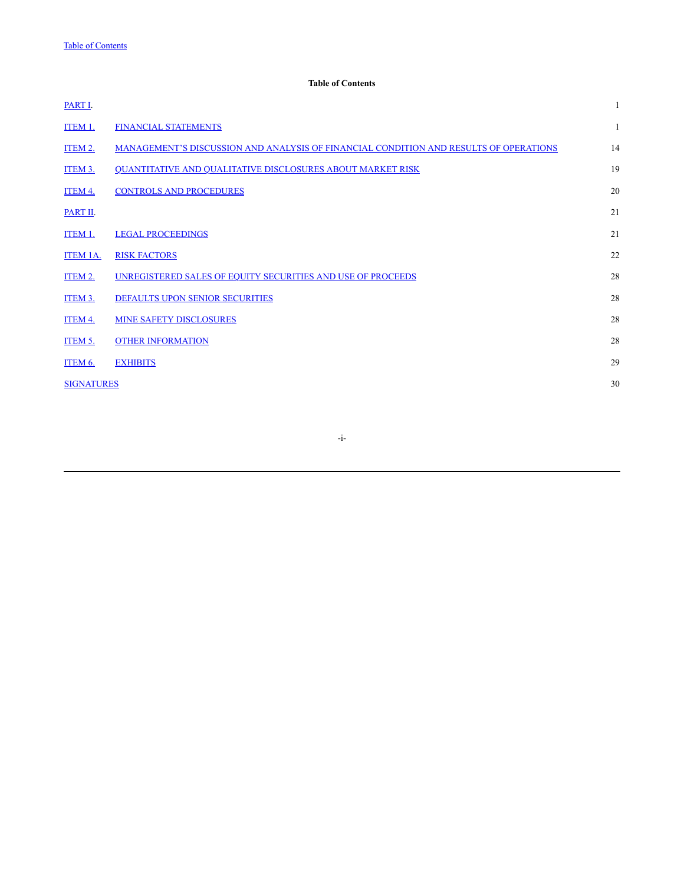# **Table of Contents**

<span id="page-1-0"></span>

| PART I.           |                                                                                       |    |
|-------------------|---------------------------------------------------------------------------------------|----|
| ITEM 1.           | <b>FINANCIAL STATEMENTS</b>                                                           | 1  |
| ITEM 2.           | MANAGEMENT'S DISCUSSION AND ANALYSIS OF FINANCIAL CONDITION AND RESULTS OF OPERATIONS | 14 |
| ITEM 3.           | QUANTITATIVE AND QUALITATIVE DISCLOSURES ABOUT MARKET RISK                            | 19 |
| <b>ITEM 4.</b>    | <b>CONTROLS AND PROCEDURES</b>                                                        | 20 |
| PART II.          |                                                                                       | 21 |
| ITEM 1.           | <b>LEGAL PROCEEDINGS</b>                                                              | 21 |
| <b>ITEM 1A.</b>   | <b>RISK FACTORS</b>                                                                   | 22 |
| ITEM 2.           | UNREGISTERED SALES OF EQUITY SECURITIES AND USE OF PROCEEDS                           | 28 |
| ITEM 3.           | <b>DEFAULTS UPON SENIOR SECURITIES</b>                                                | 28 |
| <b>ITEM 4.</b>    | <b>MINE SAFETY DISCLOSURES</b>                                                        | 28 |
| ITEM 5.           | <b>OTHER INFORMATION</b>                                                              | 28 |
| ITEM 6.           | <b>EXHIBITS</b>                                                                       | 29 |
| <b>SIGNATURES</b> |                                                                                       | 30 |
|                   |                                                                                       |    |

-i-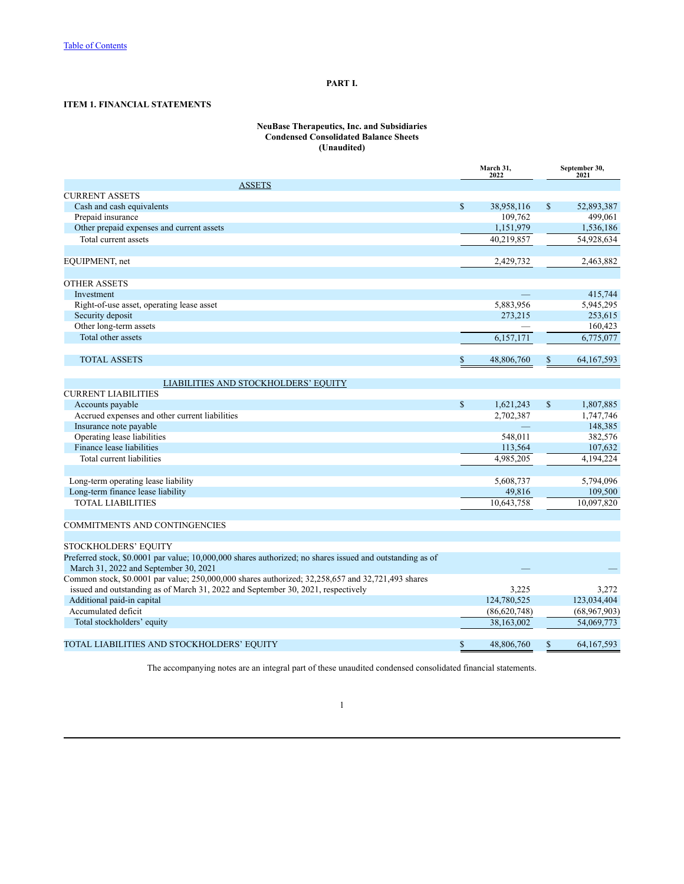# **PART I.**

# <span id="page-2-1"></span><span id="page-2-0"></span>**ITEM 1. FINANCIAL STATEMENTS**

### **NeuBase Therapeutics, Inc. and Subsidiaries Condensed Consolidated Balance Sheets (Unaudited)**

|                                                                                                                                                    | March 31.<br>2022 |                | September 30,<br>2021 |              |  |
|----------------------------------------------------------------------------------------------------------------------------------------------------|-------------------|----------------|-----------------------|--------------|--|
| <b>ASSETS</b>                                                                                                                                      |                   |                |                       |              |  |
| <b>CURRENT ASSETS</b>                                                                                                                              |                   |                |                       |              |  |
| Cash and cash equivalents                                                                                                                          | $\mathbb{S}$      | 38,958,116     | $\mathbb{S}$          | 52,893,387   |  |
| Prepaid insurance                                                                                                                                  |                   | 109,762        |                       | 499.061      |  |
| Other prepaid expenses and current assets                                                                                                          |                   | 1,151,979      |                       | 1,536,186    |  |
| Total current assets                                                                                                                               |                   | 40,219,857     |                       | 54,928,634   |  |
| EQUIPMENT, net                                                                                                                                     |                   | 2,429,732      |                       | 2,463,882    |  |
|                                                                                                                                                    |                   |                |                       |              |  |
| <b>OTHER ASSETS</b>                                                                                                                                |                   |                |                       |              |  |
| Investment                                                                                                                                         |                   |                |                       | 415,744      |  |
| Right-of-use asset, operating lease asset                                                                                                          |                   | 5,883,956      |                       | 5,945,295    |  |
| Security deposit                                                                                                                                   |                   | 273,215        |                       | 253,615      |  |
| Other long-term assets                                                                                                                             |                   |                |                       | 160,423      |  |
| Total other assets                                                                                                                                 |                   | 6,157,171      |                       | 6,775,077    |  |
| <b>TOTAL ASSETS</b>                                                                                                                                | \$                | 48,806,760     |                       | 64, 167, 593 |  |
|                                                                                                                                                    |                   |                |                       |              |  |
| LIABILITIES AND STOCKHOLDERS' EQUITY                                                                                                               |                   |                |                       |              |  |
| <b>CURRENT LIABILITIES</b>                                                                                                                         |                   |                |                       |              |  |
| Accounts payable                                                                                                                                   | $\mathbb{S}$      | 1,621,243      | $\mathcal{S}$         | 1,807,885    |  |
| Accrued expenses and other current liabilities                                                                                                     |                   | 2,702,387      |                       | 1,747,746    |  |
| Insurance note payable                                                                                                                             |                   |                |                       | 148,385      |  |
| Operating lease liabilities                                                                                                                        |                   | 548.011        |                       | 382,576      |  |
| Finance lease liabilities                                                                                                                          |                   | 113,564        |                       | 107,632      |  |
| Total current liabilities                                                                                                                          |                   | 4,985,205      |                       | 4,194,224    |  |
|                                                                                                                                                    |                   |                |                       |              |  |
| Long-term operating lease liability                                                                                                                |                   | 5,608,737      |                       | 5,794,096    |  |
| Long-term finance lease liability                                                                                                                  |                   | 49,816         |                       | 109,500      |  |
| <b>TOTAL LIABILITIES</b>                                                                                                                           |                   | 10.643.758     |                       | 10,097,820   |  |
| <b>COMMITMENTS AND CONTINGENCIES</b>                                                                                                               |                   |                |                       |              |  |
|                                                                                                                                                    |                   |                |                       |              |  |
| STOCKHOLDERS' EQUITY                                                                                                                               |                   |                |                       |              |  |
| Preferred stock, \$0.0001 par value; 10,000,000 shares authorized; no shares issued and outstanding as of<br>March 31, 2022 and September 30, 2021 |                   |                |                       |              |  |
| Common stock, \$0.0001 par value; 250,000,000 shares authorized; 32,258,657 and 32,721,493 shares                                                  |                   |                |                       |              |  |
| issued and outstanding as of March 31, 2022 and September 30, 2021, respectively                                                                   |                   | 3,225          |                       | 3,272        |  |
| Additional paid-in capital                                                                                                                         |                   | 124,780,525    |                       | 123.034.404  |  |
| Accumulated deficit                                                                                                                                |                   | (86, 620, 748) |                       | (68,967,903) |  |
| Total stockholders' equity                                                                                                                         |                   | 38,163,002     |                       | 54,069,773   |  |
|                                                                                                                                                    |                   |                |                       |              |  |
| TOTAL LIABILITIES AND STOCKHOLDERS' EQUITY                                                                                                         | \$                | 48,806,760     | \$                    | 64, 167, 593 |  |

The accompanying notes are an integral part of these unaudited condensed consolidated financial statements.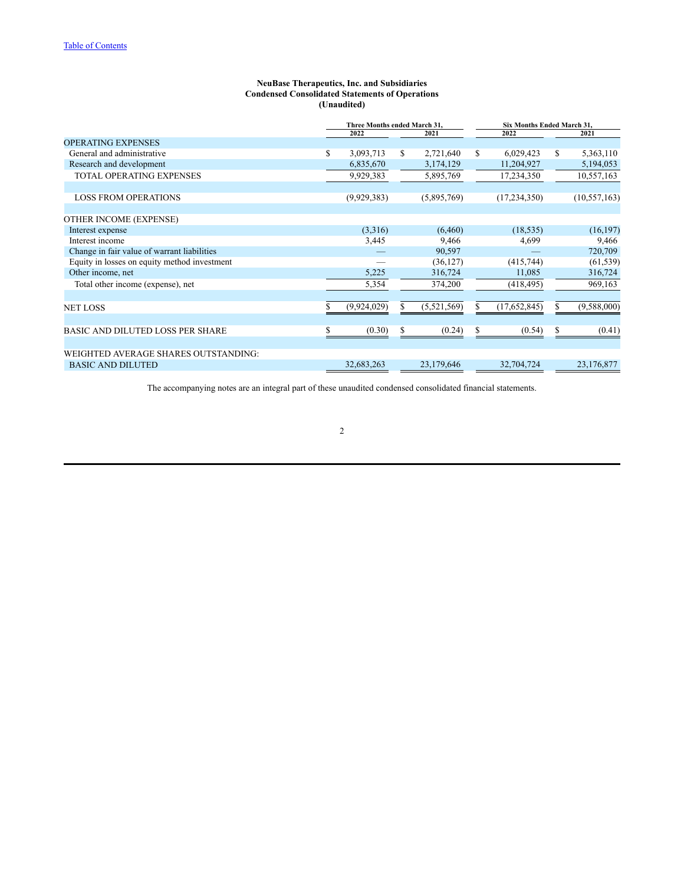#### **NeuBase Therapeutics, Inc. and Subsidiaries Condensed Consolidated Statements of Operations (Unaudited)**

|                                              |                 | Three Months ended March 31,<br>Six Months Ended March 31, |             |    |                |    |                |
|----------------------------------------------|-----------------|------------------------------------------------------------|-------------|----|----------------|----|----------------|
|                                              | 2022            |                                                            | 2021        |    | 2022           |    | 2021           |
| <b>OPERATING EXPENSES</b>                    |                 |                                                            |             |    |                |    |                |
| General and administrative                   | \$<br>3,093,713 | S                                                          | 2,721,640   | S  | 6,029,423      | \$ | 5,363,110      |
| Research and development                     | 6,835,670       |                                                            | 3,174,129   |    | 11,204,927     |    | 5,194,053      |
| <b>TOTAL OPERATING EXPENSES</b>              | 9,929,383       |                                                            | 5,895,769   |    | 17,234,350     |    | 10,557,163     |
|                                              |                 |                                                            |             |    |                |    |                |
| <b>LOSS FROM OPERATIONS</b>                  | (9,929,383)     |                                                            | (5,895,769) |    | (17, 234, 350) |    | (10, 557, 163) |
|                                              |                 |                                                            |             |    |                |    |                |
| OTHER INCOME (EXPENSE)                       |                 |                                                            |             |    |                |    |                |
| Interest expense                             | (3,316)         |                                                            | (6, 460)    |    | (18, 535)      |    | (16, 197)      |
| Interest income                              | 3,445           |                                                            | 9,466       |    | 4,699          |    | 9,466          |
| Change in fair value of warrant liabilities  |                 |                                                            | 90,597      |    |                |    | 720,709        |
| Equity in losses on equity method investment |                 |                                                            | (36, 127)   |    | (415,744)      |    | (61, 539)      |
| Other income, net                            | 5,225           |                                                            | 316,724     |    | 11,085         |    | 316,724        |
| Total other income (expense), net            | 5,354           |                                                            | 374,200     |    | (418, 495)     |    | 969,163        |
|                                              |                 |                                                            |             |    |                |    |                |
| <b>NET LOSS</b>                              | (9,924,029)     | \$                                                         | (5,521,569) | \$ | (17,652,845)   | \$ | (9,588,000)    |
|                                              |                 |                                                            |             |    |                |    |                |
| <b>BASIC AND DILUTED LOSS PER SHARE</b>      | \$<br>(0.30)    | \$                                                         | (0.24)      | \$ | (0.54)         | \$ | (0.41)         |
|                                              |                 |                                                            |             |    |                |    |                |
| WEIGHTED AVERAGE SHARES OUTSTANDING:         |                 |                                                            |             |    |                |    |                |
| <b>BASIC AND DILUTED</b>                     | 32,683,263      |                                                            | 23,179,646  |    | 32,704,724     |    | 23,176,877     |
|                                              |                 |                                                            |             |    |                |    |                |

The accompanying notes are an integral part of these unaudited condensed consolidated financial statements.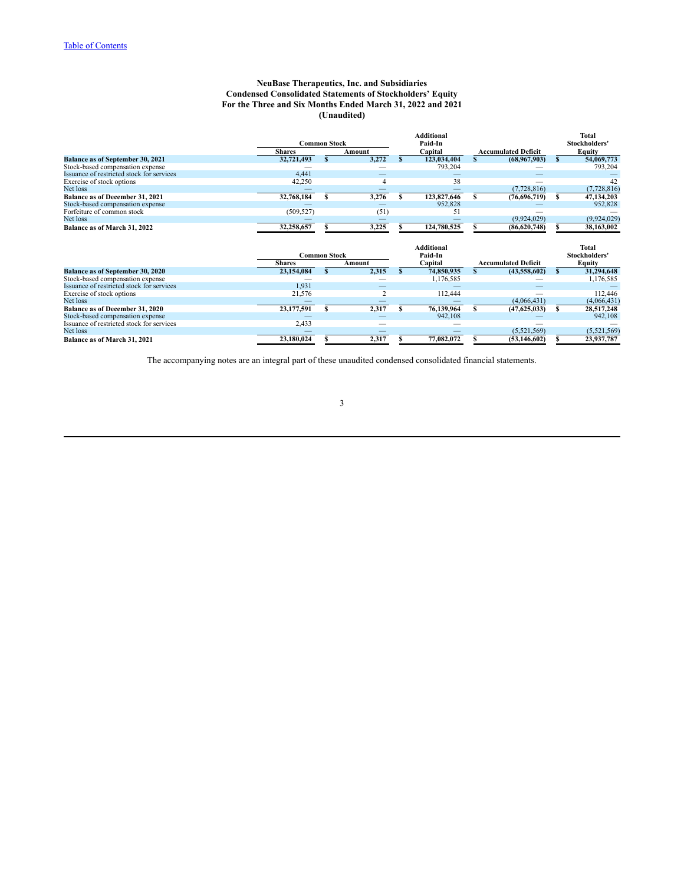### **NeuBase Therapeutics, Inc. and Subsidiaries Condensed Consolidated Statements of Stockholders' Equity For the Three and Six Months Ended March 31, 2022 and 2021 (Unaudited)**

|                                           | <b>Common Stock</b> |   |        |   | <b>Additional</b><br>Paid-In |   |                            |    | Total<br>Stockholders' |
|-------------------------------------------|---------------------|---|--------|---|------------------------------|---|----------------------------|----|------------------------|
|                                           | <b>Shares</b>       |   | Amount |   | Capital                      |   | <b>Accumulated Deficit</b> |    | <b>Equity</b>          |
| <b>Balance as of September 30, 2021</b>   | 32,721,493          |   | 3,272  |   | 123,034,404                  |   | (68,967,903)               | S. | 54,069,773             |
| Stock-based compensation expense          |                     |   |        |   | 793,204                      |   |                            |    | 793,204                |
| Issuance of restricted stock for services | 4,441               |   |        |   |                              |   |                            |    |                        |
| Exercise of stock options                 | 42,250              |   |        |   | 38                           |   |                            |    | 42                     |
| Net loss                                  |                     |   |        |   |                              |   | (7,728,816)                |    | (7, 728, 816)          |
| Balance as of December 31, 2021           | 32,768,184          | s | 3,276  | S | 123,827,646                  |   | (76,696,719)               | s  | 47,134,203             |
| Stock-based compensation expense          |                     |   |        |   | 952,828                      |   |                            |    | 952,828                |
| Forfeiture of common stock                | (509, 527)          |   | (51)   |   | 51                           |   |                            |    |                        |
| Net loss                                  |                     |   |        |   |                              |   | (9,924,029)                |    | (9,924,029)            |
| Balance as of March 31, 2022              | 32,258,657          |   | 3,225  |   | 124,780,525                  |   | (86,620,748)               |    | 38,163,002             |
|                                           | <b>Common Stock</b> |   |        |   | <b>Additional</b><br>Paid-In |   |                            |    | Total<br>Stockholders' |
|                                           | <b>Shares</b>       |   | Amount |   | Capital                      |   | <b>Accumulated Deficit</b> |    | Equity                 |
| Balance as of September 30, 2020          | 23,154,084          | S | 2,315  |   | 74,850,935                   |   | (43,558,602)               | s  | 31,294,648             |
| Stock-based compensation expense          |                     |   |        |   | 1,176,585                    |   |                            |    | 1,176,585              |
| Issuance of restricted stock for services | 1,931               |   |        |   |                              |   |                            |    |                        |
| Exercise of stock options                 | 21,576              |   |        |   | 112,444                      |   |                            |    | 112,446                |
| Net loss                                  |                     |   |        |   |                              |   | (4,066,431)                |    | (4,066,431)            |
| <b>Balance as of December 31, 2020</b>    | 23,177,591          |   | 2,317  |   | 76,139,964                   | S | (47,625,033)               | s  | 28,517,248             |
| Stock-based compensation expense          |                     |   |        |   | 942,108                      |   |                            |    | 942,108                |
| Issuance of restricted stock for services | 2,433               |   |        |   |                              |   |                            |    |                        |
| Net loss                                  |                     |   |        |   |                              |   | (5,521,569)                |    | (5,521,569)            |

The accompanying notes are an integral part of these unaudited condensed consolidated financial statements.

**Balance as of March 31, 2021 12, 2021 12, 2021 12, 2021 12, 2021 5 2,317 \$ 2,317 \$ 77,082,072 \$ 12,3146,602**)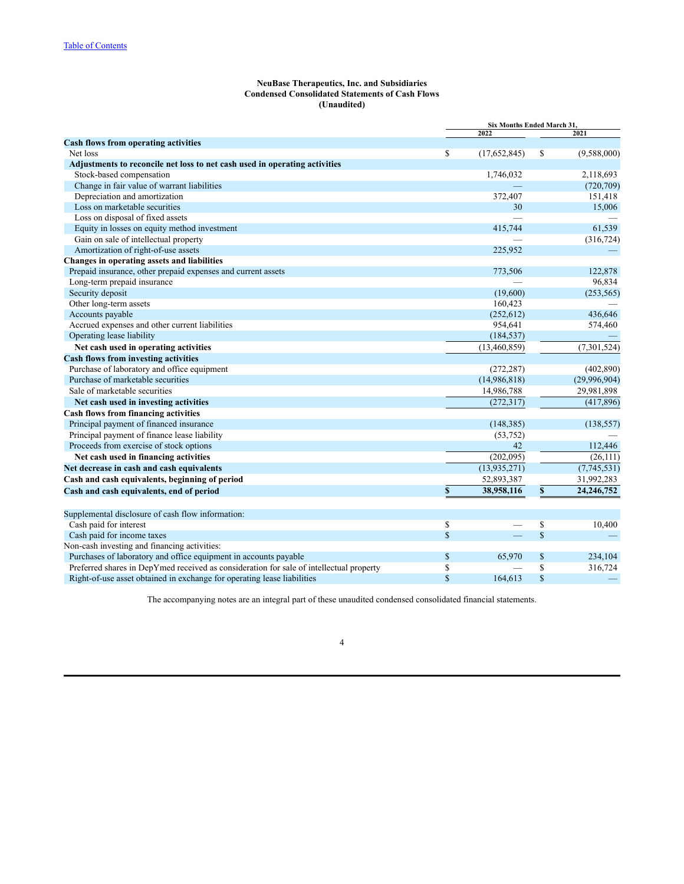### **NeuBase Therapeutics, Inc. and Subsidiaries Condensed Consolidated Statements of Cash Flows (Unaudited)**

| <b>Cash flows from operating activities</b><br>Net loss<br>\$<br>\$<br>(17,652,845)<br>(9,588,000)<br>Adjustments to reconcile net loss to net cash used in operating activities<br>Stock-based compensation<br>1,746,032<br>2,118,693<br>Change in fair value of warrant liabilities<br>(720, 709)<br>Depreciation and amortization<br>151,418<br>372,407<br>Loss on marketable securities<br>30<br>15,006<br>Loss on disposal of fixed assets<br>61,539<br>Equity in losses on equity method investment<br>415,744<br>Gain on sale of intellectual property<br>(316, 724)<br>Amortization of right-of-use assets<br>225,952<br>Changes in operating assets and liabilities<br>Prepaid insurance, other prepaid expenses and current assets<br>773,506<br>122,878<br>96,834<br>Long-term prepaid insurance<br>Security deposit<br>(19,600)<br>(253, 565)<br>Other long-term assets<br>160,423<br>Accounts payable<br>(252, 612)<br>436,646<br>Accrued expenses and other current liabilities<br>954,641<br>574,460<br>Operating lease liability<br>(184, 537)<br>(7, 301, 524)<br>Net cash used in operating activities<br>(13,460,859)<br><b>Cash flows from investing activities</b><br>Purchase of laboratory and office equipment<br>(402, 890)<br>(272, 287)<br>Purchase of marketable securities<br>(14,986,818)<br>(29,996,904)<br>Sale of marketable securities<br>14,986,788<br>29,981,898<br>(272, 317)<br>(417,896)<br>Net cash used in investing activities<br><b>Cash flows from financing activities</b><br>Principal payment of financed insurance<br>(148, 385)<br>(138, 557)<br>Principal payment of finance lease liability<br>(53,752)<br>Proceeds from exercise of stock options<br>42<br>112,446<br>Net cash used in financing activities<br>(202,095)<br>(26, 111)<br>Net decrease in cash and cash equivalents<br>(13, 935, 271)<br>(7,745,531)<br>Cash and cash equivalents, beginning of period<br>52,893,387<br>31,992,283<br>38,958,116<br>\$<br>24, 246, 752<br>\$<br>Cash and cash equivalents, end of period<br>Supplemental disclosure of cash flow information:<br>Cash paid for interest<br>\$<br>\$<br>10,400<br>$\mathbb{S}$<br>$\mathbf S$<br>Cash paid for income taxes<br>Non-cash investing and financing activities:<br>Purchases of laboratory and office equipment in accounts payable<br>\$<br>\$<br>65,970<br>234,104<br>Preferred shares in DepYmed received as consideration for sale of intellectual property<br>\$<br>\$<br>316,724 |  | Six Months Ended March 31, |  |      |  |  |
|--------------------------------------------------------------------------------------------------------------------------------------------------------------------------------------------------------------------------------------------------------------------------------------------------------------------------------------------------------------------------------------------------------------------------------------------------------------------------------------------------------------------------------------------------------------------------------------------------------------------------------------------------------------------------------------------------------------------------------------------------------------------------------------------------------------------------------------------------------------------------------------------------------------------------------------------------------------------------------------------------------------------------------------------------------------------------------------------------------------------------------------------------------------------------------------------------------------------------------------------------------------------------------------------------------------------------------------------------------------------------------------------------------------------------------------------------------------------------------------------------------------------------------------------------------------------------------------------------------------------------------------------------------------------------------------------------------------------------------------------------------------------------------------------------------------------------------------------------------------------------------------------------------------------------------------------------------------------------------------------------------------------------------------------------------------------------------------------------------------------------------------------------------------------------------------------------------------------------------------------------------------------------------------------------------------------------------------------------------------------------------------------------------------------------------------------------------------------------------------|--|----------------------------|--|------|--|--|
|                                                                                                                                                                                                                                                                                                                                                                                                                                                                                                                                                                                                                                                                                                                                                                                                                                                                                                                                                                                                                                                                                                                                                                                                                                                                                                                                                                                                                                                                                                                                                                                                                                                                                                                                                                                                                                                                                                                                                                                                                                                                                                                                                                                                                                                                                                                                                                                                                                                                                      |  | 2022                       |  | 2021 |  |  |
|                                                                                                                                                                                                                                                                                                                                                                                                                                                                                                                                                                                                                                                                                                                                                                                                                                                                                                                                                                                                                                                                                                                                                                                                                                                                                                                                                                                                                                                                                                                                                                                                                                                                                                                                                                                                                                                                                                                                                                                                                                                                                                                                                                                                                                                                                                                                                                                                                                                                                      |  |                            |  |      |  |  |
|                                                                                                                                                                                                                                                                                                                                                                                                                                                                                                                                                                                                                                                                                                                                                                                                                                                                                                                                                                                                                                                                                                                                                                                                                                                                                                                                                                                                                                                                                                                                                                                                                                                                                                                                                                                                                                                                                                                                                                                                                                                                                                                                                                                                                                                                                                                                                                                                                                                                                      |  |                            |  |      |  |  |
|                                                                                                                                                                                                                                                                                                                                                                                                                                                                                                                                                                                                                                                                                                                                                                                                                                                                                                                                                                                                                                                                                                                                                                                                                                                                                                                                                                                                                                                                                                                                                                                                                                                                                                                                                                                                                                                                                                                                                                                                                                                                                                                                                                                                                                                                                                                                                                                                                                                                                      |  |                            |  |      |  |  |
|                                                                                                                                                                                                                                                                                                                                                                                                                                                                                                                                                                                                                                                                                                                                                                                                                                                                                                                                                                                                                                                                                                                                                                                                                                                                                                                                                                                                                                                                                                                                                                                                                                                                                                                                                                                                                                                                                                                                                                                                                                                                                                                                                                                                                                                                                                                                                                                                                                                                                      |  |                            |  |      |  |  |
|                                                                                                                                                                                                                                                                                                                                                                                                                                                                                                                                                                                                                                                                                                                                                                                                                                                                                                                                                                                                                                                                                                                                                                                                                                                                                                                                                                                                                                                                                                                                                                                                                                                                                                                                                                                                                                                                                                                                                                                                                                                                                                                                                                                                                                                                                                                                                                                                                                                                                      |  |                            |  |      |  |  |
|                                                                                                                                                                                                                                                                                                                                                                                                                                                                                                                                                                                                                                                                                                                                                                                                                                                                                                                                                                                                                                                                                                                                                                                                                                                                                                                                                                                                                                                                                                                                                                                                                                                                                                                                                                                                                                                                                                                                                                                                                                                                                                                                                                                                                                                                                                                                                                                                                                                                                      |  |                            |  |      |  |  |
|                                                                                                                                                                                                                                                                                                                                                                                                                                                                                                                                                                                                                                                                                                                                                                                                                                                                                                                                                                                                                                                                                                                                                                                                                                                                                                                                                                                                                                                                                                                                                                                                                                                                                                                                                                                                                                                                                                                                                                                                                                                                                                                                                                                                                                                                                                                                                                                                                                                                                      |  |                            |  |      |  |  |
|                                                                                                                                                                                                                                                                                                                                                                                                                                                                                                                                                                                                                                                                                                                                                                                                                                                                                                                                                                                                                                                                                                                                                                                                                                                                                                                                                                                                                                                                                                                                                                                                                                                                                                                                                                                                                                                                                                                                                                                                                                                                                                                                                                                                                                                                                                                                                                                                                                                                                      |  |                            |  |      |  |  |
|                                                                                                                                                                                                                                                                                                                                                                                                                                                                                                                                                                                                                                                                                                                                                                                                                                                                                                                                                                                                                                                                                                                                                                                                                                                                                                                                                                                                                                                                                                                                                                                                                                                                                                                                                                                                                                                                                                                                                                                                                                                                                                                                                                                                                                                                                                                                                                                                                                                                                      |  |                            |  |      |  |  |
|                                                                                                                                                                                                                                                                                                                                                                                                                                                                                                                                                                                                                                                                                                                                                                                                                                                                                                                                                                                                                                                                                                                                                                                                                                                                                                                                                                                                                                                                                                                                                                                                                                                                                                                                                                                                                                                                                                                                                                                                                                                                                                                                                                                                                                                                                                                                                                                                                                                                                      |  |                            |  |      |  |  |
|                                                                                                                                                                                                                                                                                                                                                                                                                                                                                                                                                                                                                                                                                                                                                                                                                                                                                                                                                                                                                                                                                                                                                                                                                                                                                                                                                                                                                                                                                                                                                                                                                                                                                                                                                                                                                                                                                                                                                                                                                                                                                                                                                                                                                                                                                                                                                                                                                                                                                      |  |                            |  |      |  |  |
|                                                                                                                                                                                                                                                                                                                                                                                                                                                                                                                                                                                                                                                                                                                                                                                                                                                                                                                                                                                                                                                                                                                                                                                                                                                                                                                                                                                                                                                                                                                                                                                                                                                                                                                                                                                                                                                                                                                                                                                                                                                                                                                                                                                                                                                                                                                                                                                                                                                                                      |  |                            |  |      |  |  |
|                                                                                                                                                                                                                                                                                                                                                                                                                                                                                                                                                                                                                                                                                                                                                                                                                                                                                                                                                                                                                                                                                                                                                                                                                                                                                                                                                                                                                                                                                                                                                                                                                                                                                                                                                                                                                                                                                                                                                                                                                                                                                                                                                                                                                                                                                                                                                                                                                                                                                      |  |                            |  |      |  |  |
|                                                                                                                                                                                                                                                                                                                                                                                                                                                                                                                                                                                                                                                                                                                                                                                                                                                                                                                                                                                                                                                                                                                                                                                                                                                                                                                                                                                                                                                                                                                                                                                                                                                                                                                                                                                                                                                                                                                                                                                                                                                                                                                                                                                                                                                                                                                                                                                                                                                                                      |  |                            |  |      |  |  |
|                                                                                                                                                                                                                                                                                                                                                                                                                                                                                                                                                                                                                                                                                                                                                                                                                                                                                                                                                                                                                                                                                                                                                                                                                                                                                                                                                                                                                                                                                                                                                                                                                                                                                                                                                                                                                                                                                                                                                                                                                                                                                                                                                                                                                                                                                                                                                                                                                                                                                      |  |                            |  |      |  |  |
|                                                                                                                                                                                                                                                                                                                                                                                                                                                                                                                                                                                                                                                                                                                                                                                                                                                                                                                                                                                                                                                                                                                                                                                                                                                                                                                                                                                                                                                                                                                                                                                                                                                                                                                                                                                                                                                                                                                                                                                                                                                                                                                                                                                                                                                                                                                                                                                                                                                                                      |  |                            |  |      |  |  |
|                                                                                                                                                                                                                                                                                                                                                                                                                                                                                                                                                                                                                                                                                                                                                                                                                                                                                                                                                                                                                                                                                                                                                                                                                                                                                                                                                                                                                                                                                                                                                                                                                                                                                                                                                                                                                                                                                                                                                                                                                                                                                                                                                                                                                                                                                                                                                                                                                                                                                      |  |                            |  |      |  |  |
|                                                                                                                                                                                                                                                                                                                                                                                                                                                                                                                                                                                                                                                                                                                                                                                                                                                                                                                                                                                                                                                                                                                                                                                                                                                                                                                                                                                                                                                                                                                                                                                                                                                                                                                                                                                                                                                                                                                                                                                                                                                                                                                                                                                                                                                                                                                                                                                                                                                                                      |  |                            |  |      |  |  |
|                                                                                                                                                                                                                                                                                                                                                                                                                                                                                                                                                                                                                                                                                                                                                                                                                                                                                                                                                                                                                                                                                                                                                                                                                                                                                                                                                                                                                                                                                                                                                                                                                                                                                                                                                                                                                                                                                                                                                                                                                                                                                                                                                                                                                                                                                                                                                                                                                                                                                      |  |                            |  |      |  |  |
|                                                                                                                                                                                                                                                                                                                                                                                                                                                                                                                                                                                                                                                                                                                                                                                                                                                                                                                                                                                                                                                                                                                                                                                                                                                                                                                                                                                                                                                                                                                                                                                                                                                                                                                                                                                                                                                                                                                                                                                                                                                                                                                                                                                                                                                                                                                                                                                                                                                                                      |  |                            |  |      |  |  |
|                                                                                                                                                                                                                                                                                                                                                                                                                                                                                                                                                                                                                                                                                                                                                                                                                                                                                                                                                                                                                                                                                                                                                                                                                                                                                                                                                                                                                                                                                                                                                                                                                                                                                                                                                                                                                                                                                                                                                                                                                                                                                                                                                                                                                                                                                                                                                                                                                                                                                      |  |                            |  |      |  |  |
|                                                                                                                                                                                                                                                                                                                                                                                                                                                                                                                                                                                                                                                                                                                                                                                                                                                                                                                                                                                                                                                                                                                                                                                                                                                                                                                                                                                                                                                                                                                                                                                                                                                                                                                                                                                                                                                                                                                                                                                                                                                                                                                                                                                                                                                                                                                                                                                                                                                                                      |  |                            |  |      |  |  |
|                                                                                                                                                                                                                                                                                                                                                                                                                                                                                                                                                                                                                                                                                                                                                                                                                                                                                                                                                                                                                                                                                                                                                                                                                                                                                                                                                                                                                                                                                                                                                                                                                                                                                                                                                                                                                                                                                                                                                                                                                                                                                                                                                                                                                                                                                                                                                                                                                                                                                      |  |                            |  |      |  |  |
|                                                                                                                                                                                                                                                                                                                                                                                                                                                                                                                                                                                                                                                                                                                                                                                                                                                                                                                                                                                                                                                                                                                                                                                                                                                                                                                                                                                                                                                                                                                                                                                                                                                                                                                                                                                                                                                                                                                                                                                                                                                                                                                                                                                                                                                                                                                                                                                                                                                                                      |  |                            |  |      |  |  |
|                                                                                                                                                                                                                                                                                                                                                                                                                                                                                                                                                                                                                                                                                                                                                                                                                                                                                                                                                                                                                                                                                                                                                                                                                                                                                                                                                                                                                                                                                                                                                                                                                                                                                                                                                                                                                                                                                                                                                                                                                                                                                                                                                                                                                                                                                                                                                                                                                                                                                      |  |                            |  |      |  |  |
|                                                                                                                                                                                                                                                                                                                                                                                                                                                                                                                                                                                                                                                                                                                                                                                                                                                                                                                                                                                                                                                                                                                                                                                                                                                                                                                                                                                                                                                                                                                                                                                                                                                                                                                                                                                                                                                                                                                                                                                                                                                                                                                                                                                                                                                                                                                                                                                                                                                                                      |  |                            |  |      |  |  |
|                                                                                                                                                                                                                                                                                                                                                                                                                                                                                                                                                                                                                                                                                                                                                                                                                                                                                                                                                                                                                                                                                                                                                                                                                                                                                                                                                                                                                                                                                                                                                                                                                                                                                                                                                                                                                                                                                                                                                                                                                                                                                                                                                                                                                                                                                                                                                                                                                                                                                      |  |                            |  |      |  |  |
|                                                                                                                                                                                                                                                                                                                                                                                                                                                                                                                                                                                                                                                                                                                                                                                                                                                                                                                                                                                                                                                                                                                                                                                                                                                                                                                                                                                                                                                                                                                                                                                                                                                                                                                                                                                                                                                                                                                                                                                                                                                                                                                                                                                                                                                                                                                                                                                                                                                                                      |  |                            |  |      |  |  |
|                                                                                                                                                                                                                                                                                                                                                                                                                                                                                                                                                                                                                                                                                                                                                                                                                                                                                                                                                                                                                                                                                                                                                                                                                                                                                                                                                                                                                                                                                                                                                                                                                                                                                                                                                                                                                                                                                                                                                                                                                                                                                                                                                                                                                                                                                                                                                                                                                                                                                      |  |                            |  |      |  |  |
|                                                                                                                                                                                                                                                                                                                                                                                                                                                                                                                                                                                                                                                                                                                                                                                                                                                                                                                                                                                                                                                                                                                                                                                                                                                                                                                                                                                                                                                                                                                                                                                                                                                                                                                                                                                                                                                                                                                                                                                                                                                                                                                                                                                                                                                                                                                                                                                                                                                                                      |  |                            |  |      |  |  |
|                                                                                                                                                                                                                                                                                                                                                                                                                                                                                                                                                                                                                                                                                                                                                                                                                                                                                                                                                                                                                                                                                                                                                                                                                                                                                                                                                                                                                                                                                                                                                                                                                                                                                                                                                                                                                                                                                                                                                                                                                                                                                                                                                                                                                                                                                                                                                                                                                                                                                      |  |                            |  |      |  |  |
|                                                                                                                                                                                                                                                                                                                                                                                                                                                                                                                                                                                                                                                                                                                                                                                                                                                                                                                                                                                                                                                                                                                                                                                                                                                                                                                                                                                                                                                                                                                                                                                                                                                                                                                                                                                                                                                                                                                                                                                                                                                                                                                                                                                                                                                                                                                                                                                                                                                                                      |  |                            |  |      |  |  |
|                                                                                                                                                                                                                                                                                                                                                                                                                                                                                                                                                                                                                                                                                                                                                                                                                                                                                                                                                                                                                                                                                                                                                                                                                                                                                                                                                                                                                                                                                                                                                                                                                                                                                                                                                                                                                                                                                                                                                                                                                                                                                                                                                                                                                                                                                                                                                                                                                                                                                      |  |                            |  |      |  |  |
|                                                                                                                                                                                                                                                                                                                                                                                                                                                                                                                                                                                                                                                                                                                                                                                                                                                                                                                                                                                                                                                                                                                                                                                                                                                                                                                                                                                                                                                                                                                                                                                                                                                                                                                                                                                                                                                                                                                                                                                                                                                                                                                                                                                                                                                                                                                                                                                                                                                                                      |  |                            |  |      |  |  |
|                                                                                                                                                                                                                                                                                                                                                                                                                                                                                                                                                                                                                                                                                                                                                                                                                                                                                                                                                                                                                                                                                                                                                                                                                                                                                                                                                                                                                                                                                                                                                                                                                                                                                                                                                                                                                                                                                                                                                                                                                                                                                                                                                                                                                                                                                                                                                                                                                                                                                      |  |                            |  |      |  |  |
|                                                                                                                                                                                                                                                                                                                                                                                                                                                                                                                                                                                                                                                                                                                                                                                                                                                                                                                                                                                                                                                                                                                                                                                                                                                                                                                                                                                                                                                                                                                                                                                                                                                                                                                                                                                                                                                                                                                                                                                                                                                                                                                                                                                                                                                                                                                                                                                                                                                                                      |  |                            |  |      |  |  |
|                                                                                                                                                                                                                                                                                                                                                                                                                                                                                                                                                                                                                                                                                                                                                                                                                                                                                                                                                                                                                                                                                                                                                                                                                                                                                                                                                                                                                                                                                                                                                                                                                                                                                                                                                                                                                                                                                                                                                                                                                                                                                                                                                                                                                                                                                                                                                                                                                                                                                      |  |                            |  |      |  |  |
|                                                                                                                                                                                                                                                                                                                                                                                                                                                                                                                                                                                                                                                                                                                                                                                                                                                                                                                                                                                                                                                                                                                                                                                                                                                                                                                                                                                                                                                                                                                                                                                                                                                                                                                                                                                                                                                                                                                                                                                                                                                                                                                                                                                                                                                                                                                                                                                                                                                                                      |  |                            |  |      |  |  |
|                                                                                                                                                                                                                                                                                                                                                                                                                                                                                                                                                                                                                                                                                                                                                                                                                                                                                                                                                                                                                                                                                                                                                                                                                                                                                                                                                                                                                                                                                                                                                                                                                                                                                                                                                                                                                                                                                                                                                                                                                                                                                                                                                                                                                                                                                                                                                                                                                                                                                      |  |                            |  |      |  |  |
|                                                                                                                                                                                                                                                                                                                                                                                                                                                                                                                                                                                                                                                                                                                                                                                                                                                                                                                                                                                                                                                                                                                                                                                                                                                                                                                                                                                                                                                                                                                                                                                                                                                                                                                                                                                                                                                                                                                                                                                                                                                                                                                                                                                                                                                                                                                                                                                                                                                                                      |  |                            |  |      |  |  |
| $\mathbf S$<br>$\mathbb{S}$<br>164,613<br>Right-of-use asset obtained in exchange for operating lease liabilities                                                                                                                                                                                                                                                                                                                                                                                                                                                                                                                                                                                                                                                                                                                                                                                                                                                                                                                                                                                                                                                                                                                                                                                                                                                                                                                                                                                                                                                                                                                                                                                                                                                                                                                                                                                                                                                                                                                                                                                                                                                                                                                                                                                                                                                                                                                                                                    |  |                            |  |      |  |  |

The accompanying notes are an integral part of these unaudited condensed consolidated financial statements.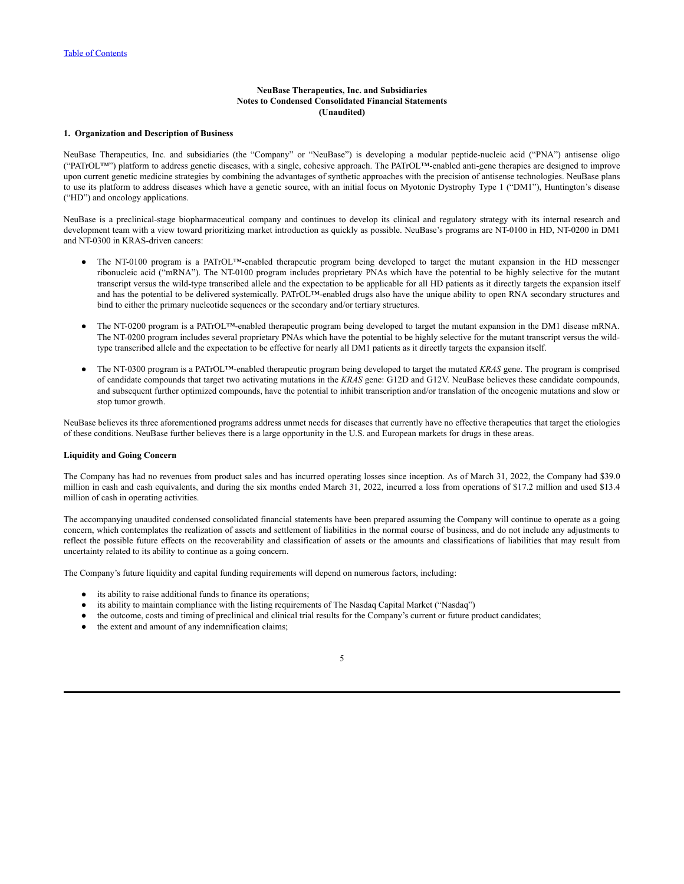### **1. Organization and Description of Business**

NeuBase Therapeutics, Inc. and subsidiaries (the "Company" or "NeuBase") is developing a modular peptide-nucleic acid ("PNA") antisense oligo ("PATrOL™") platform to address genetic diseases, with a single, cohesive approach. The PATrOL™-enabled anti-gene therapies are designed to improve upon current genetic medicine strategies by combining the advantages of synthetic approaches with the precision of antisense technologies. NeuBase plans to use its platform to address diseases which have a genetic source, with an initial focus on Myotonic Dystrophy Type 1 ("DM1"), Huntington's disease ("HD") and oncology applications.

NeuBase is a preclinical-stage biopharmaceutical company and continues to develop its clinical and regulatory strategy with its internal research and development team with a view toward prioritizing market introduction as quickly as possible. NeuBase's programs are NT-0100 in HD, NT-0200 in DM1 and NT-0300 in KRAS-driven cancers:

- The NT-0100 program is a PATrOL™-enabled therapeutic program being developed to target the mutant expansion in the HD messenger ribonucleic acid ("mRNA"). The NT-0100 program includes proprietary PNAs which have the potential to be highly selective for the mutant transcript versus the wild-type transcribed allele and the expectation to be applicable for all HD patients as it directly targets the expansion itself and has the potential to be delivered systemically. PATrOL™-enabled drugs also have the unique ability to open RNA secondary structures and bind to either the primary nucleotide sequences or the secondary and/or tertiary structures.
- The NT-0200 program is a PATrOL™-enabled therapeutic program being developed to target the mutant expansion in the DM1 disease mRNA. The NT-0200 program includes several proprietary PNAs which have the potential to be highly selective for the mutant transcript versus the wildtype transcribed allele and the expectation to be effective for nearly all DM1 patients as it directly targets the expansion itself.
- The NT-0300 program is a PATrOL™-enabled therapeutic program being developed to target the mutated *KRAS* gene. The program is comprised of candidate compounds that target two activating mutations in the *KRAS* gene: G12D and G12V. NeuBase believes these candidate compounds, and subsequent further optimized compounds, have the potential to inhibit transcription and/or translation of the oncogenic mutations and slow or stop tumor growth.

NeuBase believes its three aforementioned programs address unmet needs for diseases that currently have no effective therapeutics that target the etiologies of these conditions. NeuBase further believes there is a large opportunity in the U.S. and European markets for drugs in these areas.

### **Liquidity and Going Concern**

The Company has had no revenues from product sales and has incurred operating losses since inception. As of March 31, 2022, the Company had \$39.0 million in cash and cash equivalents, and during the six months ended March 31, 2022, incurred a loss from operations of \$17.2 million and used \$13.4 million of cash in operating activities.

The accompanying unaudited condensed consolidated financial statements have been prepared assuming the Company will continue to operate as a going concern, which contemplates the realization of assets and settlement of liabilities in the normal course of business, and do not include any adjustments to reflect the possible future effects on the recoverability and classification of assets or the amounts and classifications of liabilities that may result from uncertainty related to its ability to continue as a going concern.

The Company's future liquidity and capital funding requirements will depend on numerous factors, including:

- its ability to raise additional funds to finance its operations;
- its ability to maintain compliance with the listing requirements of The Nasdaq Capital Market ("Nasdaq")
- the outcome, costs and timing of preclinical and clinical trial results for the Company's current or future product candidates;
- the extent and amount of any indemnification claims;

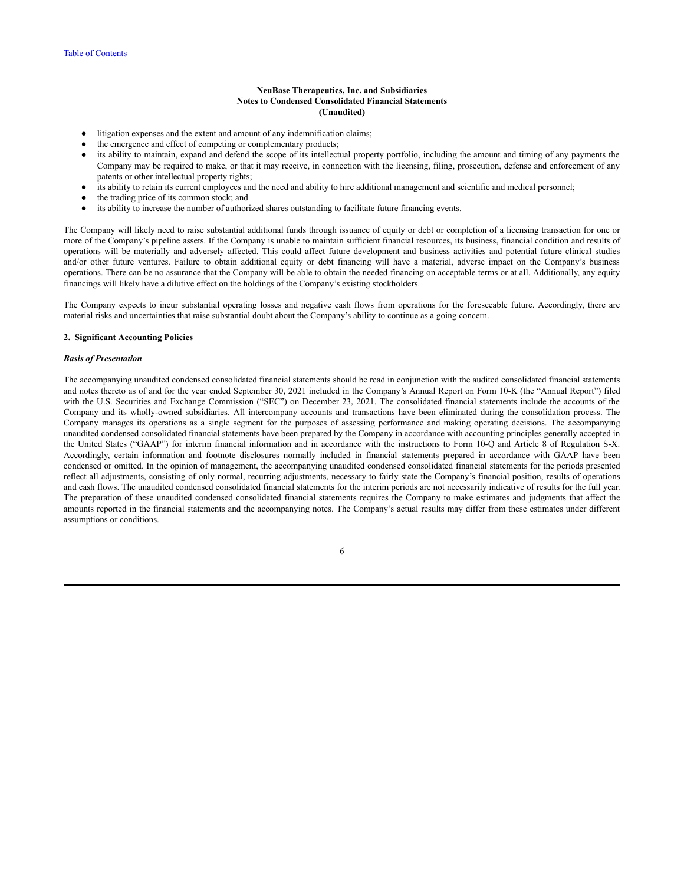- litigation expenses and the extent and amount of any indemnification claims;
- the emergence and effect of competing or complementary products;
- its ability to maintain, expand and defend the scope of its intellectual property portfolio, including the amount and timing of any payments the Company may be required to make, or that it may receive, in connection with the licensing, filing, prosecution, defense and enforcement of any patents or other intellectual property rights;
- its ability to retain its current employees and the need and ability to hire additional management and scientific and medical personnel;
- the trading price of its common stock; and
- its ability to increase the number of authorized shares outstanding to facilitate future financing events.

The Company will likely need to raise substantial additional funds through issuance of equity or debt or completion of a licensing transaction for one or more of the Company's pipeline assets. If the Company is unable to maintain sufficient financial resources, its business, financial condition and results of operations will be materially and adversely affected. This could affect future development and business activities and potential future clinical studies and/or other future ventures. Failure to obtain additional equity or debt financing will have a material, adverse impact on the Company's business operations. There can be no assurance that the Company will be able to obtain the needed financing on acceptable terms or at all. Additionally, any equity financings will likely have a dilutive effect on the holdings of the Company's existing stockholders.

The Company expects to incur substantial operating losses and negative cash flows from operations for the foreseeable future. Accordingly, there are material risks and uncertainties that raise substantial doubt about the Company's ability to continue as a going concern.

#### **2. Significant Accounting Policies**

#### *Basis of Presentation*

The accompanying unaudited condensed consolidated financial statements should be read in conjunction with the audited consolidated financial statements and notes thereto as of and for the year ended September 30, 2021 included in the Company's Annual Report on Form 10-K (the "Annual Report") filed with the U.S. Securities and Exchange Commission ("SEC") on December 23, 2021. The consolidated financial statements include the accounts of the Company and its wholly-owned subsidiaries. All intercompany accounts and transactions have been eliminated during the consolidation process. The Company manages its operations as a single segment for the purposes of assessing performance and making operating decisions. The accompanying unaudited condensed consolidated financial statements have been prepared by the Company in accordance with accounting principles generally accepted in the United States ("GAAP") for interim financial information and in accordance with the instructions to Form 10-Q and Article 8 of Regulation S-X. Accordingly, certain information and footnote disclosures normally included in financial statements prepared in accordance with GAAP have been condensed or omitted. In the opinion of management, the accompanying unaudited condensed consolidated financial statements for the periods presented reflect all adjustments, consisting of only normal, recurring adjustments, necessary to fairly state the Company's financial position, results of operations and cash flows. The unaudited condensed consolidated financial statements for the interim periods are not necessarily indicative of results for the full year. The preparation of these unaudited condensed consolidated financial statements requires the Company to make estimates and judgments that affect the amounts reported in the financial statements and the accompanying notes. The Company's actual results may differ from these estimates under different assumptions or conditions.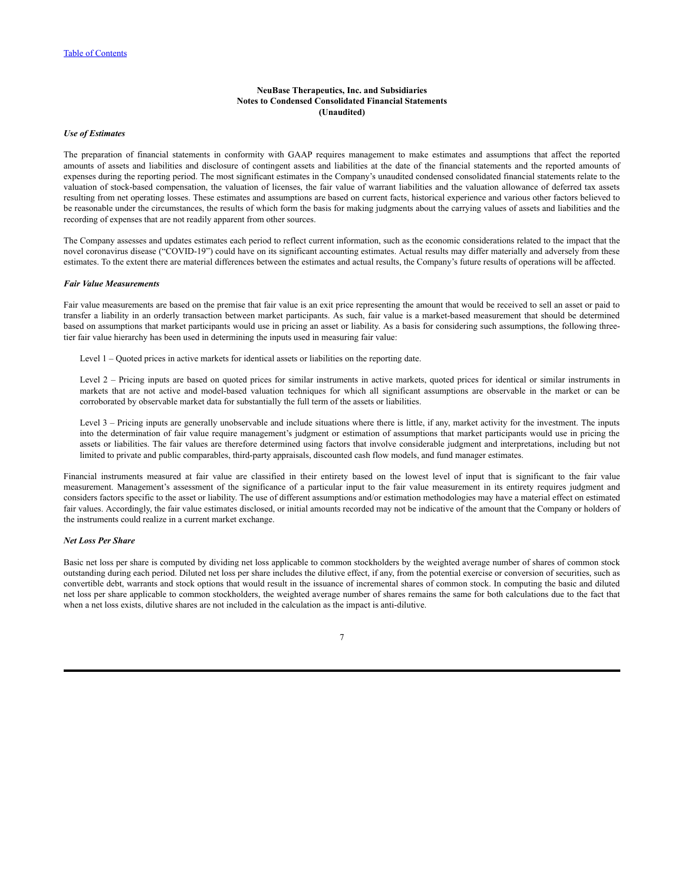### *Use of Estimates*

The preparation of financial statements in conformity with GAAP requires management to make estimates and assumptions that affect the reported amounts of assets and liabilities and disclosure of contingent assets and liabilities at the date of the financial statements and the reported amounts of expenses during the reporting period. The most significant estimates in the Company's unaudited condensed consolidated financial statements relate to the valuation of stock-based compensation, the valuation of licenses, the fair value of warrant liabilities and the valuation allowance of deferred tax assets resulting from net operating losses. These estimates and assumptions are based on current facts, historical experience and various other factors believed to be reasonable under the circumstances, the results of which form the basis for making judgments about the carrying values of assets and liabilities and the recording of expenses that are not readily apparent from other sources.

The Company assesses and updates estimates each period to reflect current information, such as the economic considerations related to the impact that the novel coronavirus disease ("COVID-19") could have on its significant accounting estimates. Actual results may differ materially and adversely from these estimates. To the extent there are material differences between the estimates and actual results, the Company's future results of operations will be affected.

#### *Fair Value Measurements*

Fair value measurements are based on the premise that fair value is an exit price representing the amount that would be received to sell an asset or paid to transfer a liability in an orderly transaction between market participants. As such, fair value is a market-based measurement that should be determined based on assumptions that market participants would use in pricing an asset or liability. As a basis for considering such assumptions, the following threetier fair value hierarchy has been used in determining the inputs used in measuring fair value:

Level 1 – Quoted prices in active markets for identical assets or liabilities on the reporting date.

Level 2 – Pricing inputs are based on quoted prices for similar instruments in active markets, quoted prices for identical or similar instruments in markets that are not active and model-based valuation techniques for which all significant assumptions are observable in the market or can be corroborated by observable market data for substantially the full term of the assets or liabilities.

Level 3 – Pricing inputs are generally unobservable and include situations where there is little, if any, market activity for the investment. The inputs into the determination of fair value require management's judgment or estimation of assumptions that market participants would use in pricing the assets or liabilities. The fair values are therefore determined using factors that involve considerable judgment and interpretations, including but not limited to private and public comparables, third-party appraisals, discounted cash flow models, and fund manager estimates.

Financial instruments measured at fair value are classified in their entirety based on the lowest level of input that is significant to the fair value measurement. Management's assessment of the significance of a particular input to the fair value measurement in its entirety requires judgment and considers factors specific to the asset or liability. The use of different assumptions and/or estimation methodologies may have a material effect on estimated fair values. Accordingly, the fair value estimates disclosed, or initial amounts recorded may not be indicative of the amount that the Company or holders of the instruments could realize in a current market exchange.

#### *Net Loss Per Share*

Basic net loss per share is computed by dividing net loss applicable to common stockholders by the weighted average number of shares of common stock outstanding during each period. Diluted net loss per share includes the dilutive effect, if any, from the potential exercise or conversion of securities, such as convertible debt, warrants and stock options that would result in the issuance of incremental shares of common stock. In computing the basic and diluted net loss per share applicable to common stockholders, the weighted average number of shares remains the same for both calculations due to the fact that when a net loss exists, dilutive shares are not included in the calculation as the impact is anti-dilutive.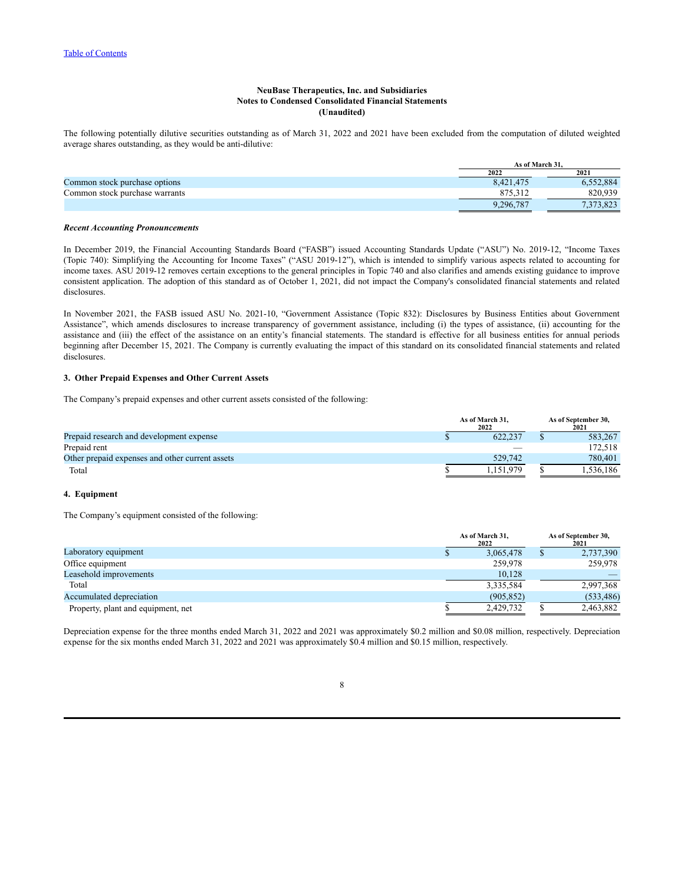The following potentially dilutive securities outstanding as of March 31, 2022 and 2021 have been excluded from the computation of diluted weighted average shares outstanding, as they would be anti-dilutive:

|                                | As of March 31. |                       |  |
|--------------------------------|-----------------|-----------------------|--|
|                                | 2022            | 2021                  |  |
| Common stock purchase options  | 8,421,475       | 6.552.884             |  |
| Common stock purchase warrants |                 | 820.939               |  |
|                                | 9.296.787       | 7 272 873<br>د ے ہے ا |  |

#### *Recent Accounting Pronouncements*

In December 2019, the Financial Accounting Standards Board ("FASB") issued Accounting Standards Update ("ASU") No. 2019-12, "Income Taxes (Topic 740): Simplifying the Accounting for Income Taxes" ("ASU 2019-12"), which is intended to simplify various aspects related to accounting for income taxes. ASU 2019-12 removes certain exceptions to the general principles in Topic 740 and also clarifies and amends existing guidance to improve consistent application. The adoption of this standard as of October 1, 2021, did not impact the Company's consolidated financial statements and related disclosures.

In November 2021, the FASB issued ASU No. 2021-10, "Government Assistance (Topic 832): Disclosures by Business Entities about Government Assistance", which amends disclosures to increase transparency of government assistance, including (i) the types of assistance, (ii) accounting for the assistance and (iii) the effect of the assistance on an entity's financial statements. The standard is effective for all business entities for annual periods beginning after December 15, 2021. The Company is currently evaluating the impact of this standard on its consolidated financial statements and related disclosures.

### **3. Other Prepaid Expenses and Other Current Assets**

The Company's prepaid expenses and other current assets consisted of the following:

|                                                 | As of March 31,<br>2022 | As of September 30,<br>2021 |  |
|-------------------------------------------------|-------------------------|-----------------------------|--|
| Prepaid research and development expense        | 622.237                 | 583.267                     |  |
| Prepaid rent                                    |                         | 172.518                     |  |
| Other prepaid expenses and other current assets | 529.742                 | 780.401                     |  |
| Total                                           | 151979                  | .536.186                    |  |

### **4. Equipment**

The Company's equipment consisted of the following:

|                                    | As of March 31,<br>2022 | As of September 30,<br>2021 |  |
|------------------------------------|-------------------------|-----------------------------|--|
| Laboratory equipment               | 3,065,478               | 2,737,390                   |  |
| Office equipment                   | 259,978                 | 259,978                     |  |
| Leasehold improvements             | 10,128                  |                             |  |
| Total                              | 3,335,584               | 2,997,368                   |  |
| Accumulated depreciation           | (905, 852)              | (533, 486)                  |  |
| Property, plant and equipment, net | 2.429.732               | 2,463,882                   |  |

Depreciation expense for the three months ended March 31, 2022 and 2021 was approximately \$0.2 million and \$0.08 million, respectively. Depreciation expense for the six months ended March 31, 2022 and 2021 was approximately \$0.4 million and \$0.15 million, respectively.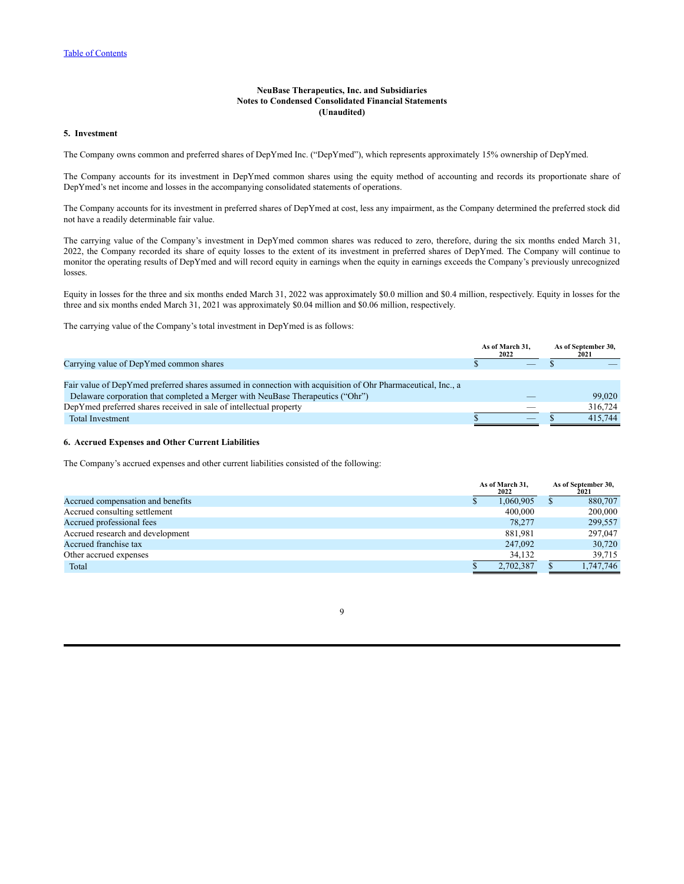### **5. Investment**

The Company owns common and preferred shares of DepYmed Inc. ("DepYmed"), which represents approximately 15% ownership of DepYmed.

The Company accounts for its investment in DepYmed common shares using the equity method of accounting and records its proportionate share of DepYmed's net income and losses in the accompanying consolidated statements of operations.

The Company accounts for its investment in preferred shares of DepYmed at cost, less any impairment, as the Company determined the preferred stock did not have a readily determinable fair value.

The carrying value of the Company's investment in DepYmed common shares was reduced to zero, therefore, during the six months ended March 31, 2022, the Company recorded its share of equity losses to the extent of its investment in preferred shares of DepYmed. The Company will continue to monitor the operating results of DepYmed and will record equity in earnings when the equity in earnings exceeds the Company's previously unrecognized losses.

Equity in losses for the three and six months ended March 31, 2022 was approximately \$0.0 million and \$0.4 million, respectively. Equity in losses for the three and six months ended March 31, 2021 was approximately \$0.04 million and \$0.06 million, respectively.

The carrying value of the Company's total investment in DepYmed is as follows:

|                                                                                                              | As of March 31.<br>2022 | As of September 30,<br>2021 |
|--------------------------------------------------------------------------------------------------------------|-------------------------|-----------------------------|
| Carrying value of DepYmed common shares                                                                      |                         |                             |
|                                                                                                              |                         |                             |
| Fair value of DepYmed preferred shares assumed in connection with acquisition of Ohr Pharmaceutical, Inc., a |                         |                             |
| Delaware corporation that completed a Merger with NeuBase Therapeutics ("Ohr")                               |                         | 99,020                      |
| DepYmed preferred shares received in sale of intellectual property                                           |                         | 316,724                     |
| <b>Total Investment</b>                                                                                      | __                      | 415.744                     |

### **6. Accrued Expenses and Other Current Liabilities**

The Company's accrued expenses and other current liabilities consisted of the following:

|                                   | As of March 31,<br>2022 |  | As of September 30,<br>2021 |  |
|-----------------------------------|-------------------------|--|-----------------------------|--|
| Accrued compensation and benefits | 1,060,905               |  | 880,707                     |  |
| Accrued consulting settlement     | 400,000                 |  | 200,000                     |  |
| Accrued professional fees         | 78.277                  |  | 299,557                     |  |
| Accrued research and development  | 881,981                 |  | 297,047                     |  |
| Accrued franchise tax             | 247,092                 |  | 30,720                      |  |
| Other accrued expenses            | 34,132                  |  | 39.715                      |  |
| Total                             | 2,702,387               |  | 1,747,746                   |  |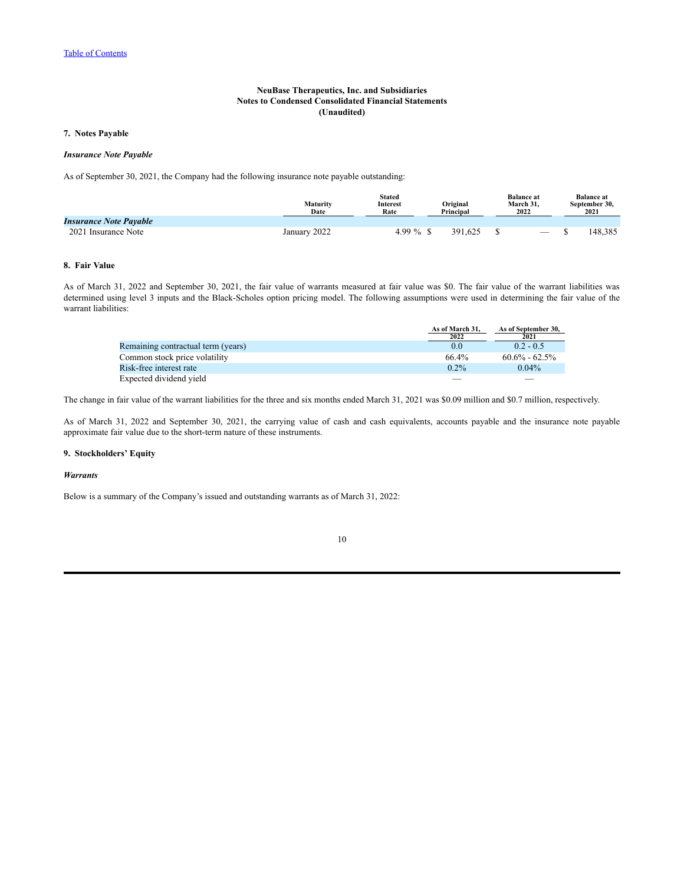## **7. Notes Payable**

#### *Insurance Note Payable*

As of September 30, 2021, the Company had the following insurance note payable outstanding:

|                               | Maturity<br>Date | <b>Stated</b><br><b>Interest</b><br>Rate | Original<br>Principal | <b>Balance at</b><br>March 31.<br>2022 | <b>Balance at</b><br>September 30.<br>2021 |
|-------------------------------|------------------|------------------------------------------|-----------------------|----------------------------------------|--------------------------------------------|
| <b>Insurance Note Payable</b> |                  |                                          |                       |                                        |                                            |
| 2021 Insurance Note           | January 2022     | 4.99 $%$ \$                              | 391.625               | $\hspace{0.1mm}-\hspace{0.1mm}$        | 148,385                                    |

## **8. Fair Value**

As of March 31, 2022 and September 30, 2021, the fair value of warrants measured at fair value was \$0. The fair value of the warrant liabilities was determined using level 3 inputs and the Black-Scholes option pricing model. The following assumptions were used in determining the fair value of the warrant liabilities:

|                                    | As of March 31. | As of September 30. |
|------------------------------------|-----------------|---------------------|
|                                    | 2022            | 2021                |
| Remaining contractual term (years) | 0.0             | $0.2 - 0.5$         |
| Common stock price volatility      | 66.4%           | $60.6\% - 62.5\%$   |
| Risk-free interest rate            | $0.2\%$         | $0.04\%$            |
| Expected dividend vield            |                 |                     |

The change in fair value of the warrant liabilities for the three and six months ended March 31, 2021 was \$0.09 million and \$0.7 million, respectively.

As of March 31, 2022 and September 30, 2021, the carrying value of cash and cash equivalents, accounts payable and the insurance note payable approximate fair value due to the short-term nature of these instruments.

### **9. Stockholders' Equity**

### *Warrants*

Below is a summary of the Company's issued and outstanding warrants as of March 31, 2022: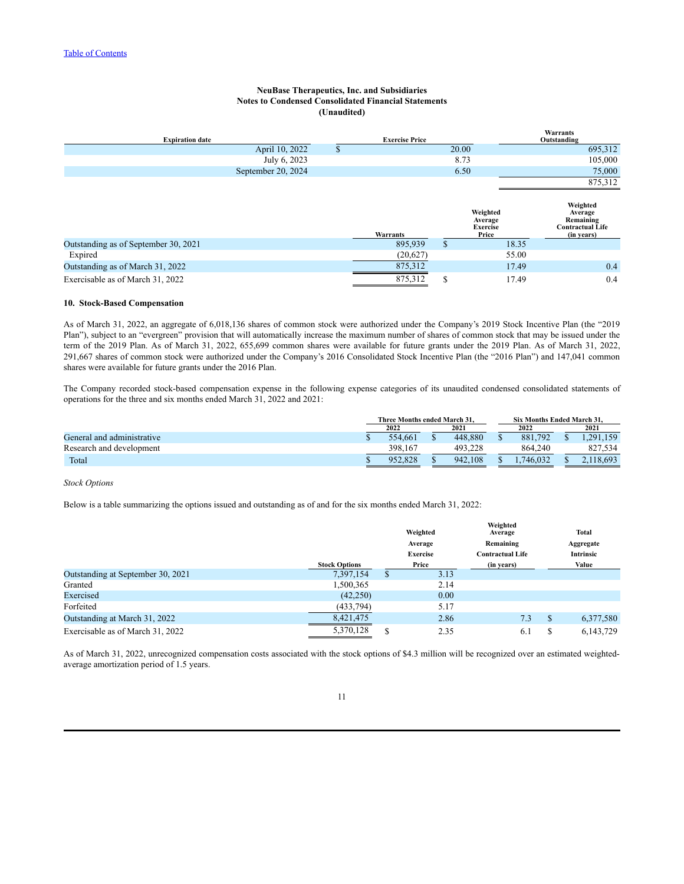| <b>Expiration date</b>               |                    | <b>Exercise Price</b> |       |                                        | <b>Warrants</b><br>Outstanding                              |
|--------------------------------------|--------------------|-----------------------|-------|----------------------------------------|-------------------------------------------------------------|
|                                      | April 10, 2022     | \$                    | 20.00 |                                        | 695,312                                                     |
|                                      | July 6, 2023       |                       | 8.73  |                                        | 105,000                                                     |
|                                      | September 20, 2024 |                       | 6.50  |                                        | 75,000                                                      |
|                                      |                    |                       |       |                                        | 875,312                                                     |
|                                      |                    |                       |       | Weighted<br>Average<br><b>Exercise</b> | Weighted<br>Average<br>Remaining<br><b>Contractual Life</b> |
| Outstanding as of September 30, 2021 |                    | Warrants<br>895,939   |       | Price<br>18.35                         | (in years)                                                  |
|                                      |                    |                       | аĐ.   |                                        |                                                             |
| Expired                              |                    | (20,627)              |       | 55.00                                  |                                                             |

Outstanding as of March 31, 2022 0.4 Exercisable as of March 31, 2022 0.4 and 2012 0.4 and 2012 0.4 and 31, 2022 0.4 and 31, 2022 0.4

#### **10. Stock-Based Compensation**

As of March 31, 2022, an aggregate of 6,018,136 shares of common stock were authorized under the Company's 2019 Stock Incentive Plan (the "2019 Plan"), subject to an "evergreen" provision that will automatically increase the maximum number of shares of common stock that may be issued under the term of the 2019 Plan. As of March 31, 2022, 655,699 common shares were available for future grants under the 2019 Plan. As of March 31, 2022, 291,667 shares of common stock were authorized under the Company's 2016 Consolidated Stock Incentive Plan (the "2016 Plan") and 147,041 common shares were available for future grants under the 2016 Plan.

The Company recorded stock-based compensation expense in the following expense categories of its unaudited condensed consolidated statements of operations for the three and six months ended March 31, 2022 and 2021:

|                            | Three Months ended March 31. |         |  |         | <b>Six Months Ended March 31.</b> |  |                 |
|----------------------------|------------------------------|---------|--|---------|-----------------------------------|--|-----------------|
|                            |                              | 2022    |  | 2021    | 2022                              |  | 2021            |
| General and administrative |                              | 554.661 |  | 448.880 | 881,792                           |  | 291<br>$-1.159$ |
| Research and development   |                              | 398.167 |  | 493.228 | 864.240                           |  | 827.534         |
| Total                      |                              | 952.828 |  | 942.108 | 746.032                           |  | .118.693        |

#### *Stock Options*

Below is a table summarizing the options issued and outstanding as of and for the six months ended March 31, 2022:

|                                   |                      |   | Weighted        | Weighted<br>Average     |   | <b>Total</b>     |
|-----------------------------------|----------------------|---|-----------------|-------------------------|---|------------------|
|                                   |                      |   | Average         | Remaining               |   | Aggregate        |
|                                   |                      |   | <b>Exercise</b> | <b>Contractual Life</b> |   | <b>Intrinsic</b> |
|                                   | <b>Stock Options</b> |   | Price           | (in years)              |   | Value            |
| Outstanding at September 30, 2021 | 7,397,154            | S | 3.13            |                         |   |                  |
| Granted                           | 1,500,365            |   | 2.14            |                         |   |                  |
| Exercised                         | (42,250)             |   | 0.00            |                         |   |                  |
| Forfeited                         | (433, 794)           |   | 5.17            |                         |   |                  |
| Outstanding at March 31, 2022     | 8,421,475            |   | 2.86            | 7.3                     | S | 6,377,580        |
| Exercisable as of March 31, 2022  | 5,370,128            | S | 2.35            | 6.1                     |   | 6,143,729        |

As of March 31, 2022, unrecognized compensation costs associated with the stock options of \$4.3 million will be recognized over an estimated weightedaverage amortization period of 1.5 years.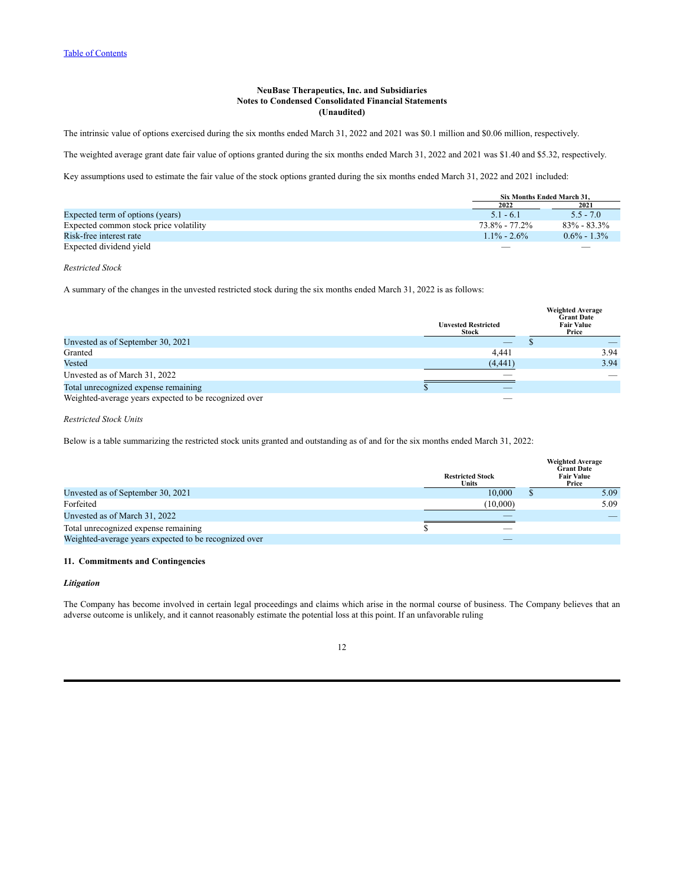The intrinsic value of options exercised during the six months ended March 31, 2022 and 2021 was \$0.1 million and \$0.06 million, respectively.

The weighted average grant date fair value of options granted during the six months ended March 31, 2022 and 2021 was \$1.40 and \$5.32, respectively.

Key assumptions used to estimate the fair value of the stock options granted during the six months ended March 31, 2022 and 2021 included:

|                                        |                | Six Months Ended March 31. |
|----------------------------------------|----------------|----------------------------|
|                                        | 2022           | 2021                       |
| Expected term of options (years)       | $5.1 - 6.1$    | $5.5 - 7.0$                |
| Expected common stock price volatility | 73.8% - 77.2%  | $83\% - 83.3\%$            |
| Risk-free interest rate                | $11\% - 2.6\%$ | $0.6\% - 1.3\%$            |
| Expected dividend yield                |                |                            |

#### *Restricted Stock*

A summary of the changes in the unvested restricted stock during the six months ended March 31, 2022 is as follows:

|                                                       | <b>Unvested Restricted</b><br>Stock | <b>Weighted Average</b><br><b>Grant Date</b><br><b>Fair Value</b><br>Price |
|-------------------------------------------------------|-------------------------------------|----------------------------------------------------------------------------|
| Unvested as of September 30, 2021                     |                                     |                                                                            |
| Granted                                               | 4.441                               | 3.94                                                                       |
| Vested                                                | (4, 441)                            | 3.94                                                                       |
| Unvested as of March 31, 2022                         |                                     |                                                                            |
| Total unrecognized expense remaining                  | ۰D                                  |                                                                            |
| Weighted-average years expected to be recognized over |                                     |                                                                            |

### *Restricted Stock Units*

Below is a table summarizing the restricted stock units granted and outstanding as of and for the six months ended March 31, 2022:

|                                                       |                                  | <b>Weighted Average</b><br><b>Grant Date</b> |
|-------------------------------------------------------|----------------------------------|----------------------------------------------|
|                                                       | <b>Restricted Stock</b><br>Units | <b>Fair Value</b><br>Price                   |
| Unvested as of September 30, 2021                     | 10,000                           | 5.09                                         |
| Forfeited                                             | (10,000)                         | 5.09                                         |
| Unvested as of March 31, 2022                         |                                  |                                              |
| Total unrecognized expense remaining                  |                                  |                                              |
| Weighted-average years expected to be recognized over |                                  |                                              |

#### **11. Commitments and Contingencies**

#### *Litigation*

The Company has become involved in certain legal proceedings and claims which arise in the normal course of business. The Company believes that an adverse outcome is unlikely, and it cannot reasonably estimate the potential loss at this point. If an unfavorable ruling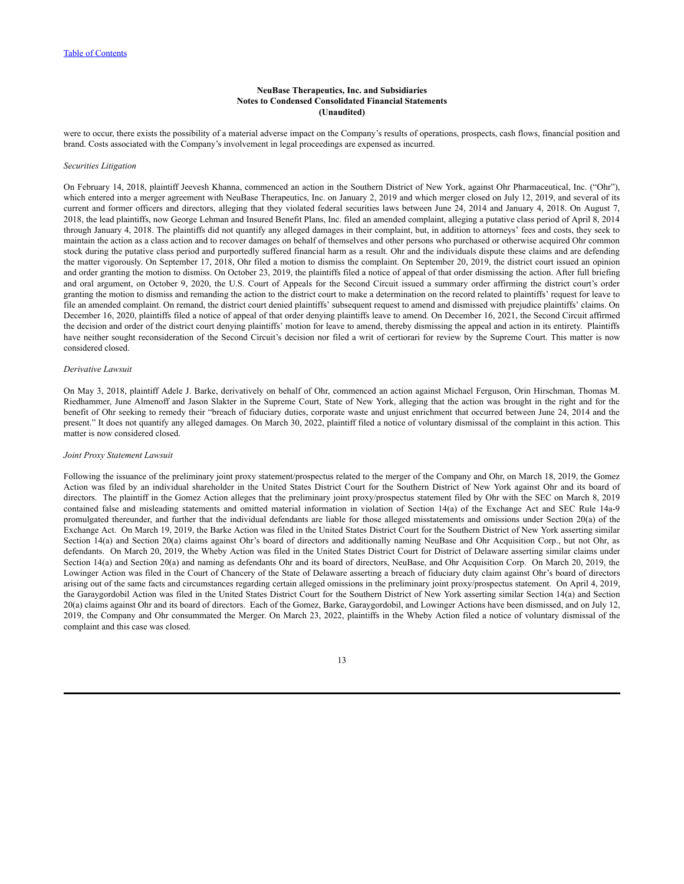were to occur, there exists the possibility of a material adverse impact on the Company's results of operations, prospects, cash flows, financial position and brand. Costs associated with the Company's involvement in legal proceedings are expensed as incurred.

#### *Securities Litigation*

On February 14, 2018, plaintiff Jeevesh Khanna, commenced an action in the Southern District of New York, against Ohr Pharmaceutical, Inc. ("Ohr"), which entered into a merger agreement with NeuBase Therapeutics, Inc. on January 2, 2019 and which merger closed on July 12, 2019, and several of its current and former officers and directors, alleging that they violated federal securities laws between June 24, 2014 and January 4, 2018. On August 7, 2018, the lead plaintiffs, now George Lehman and Insured Benefit Plans, Inc. filed an amended complaint, alleging a putative class period of April 8, 2014 through January 4, 2018. The plaintiffs did not quantify any alleged damages in their complaint, but, in addition to attorneys' fees and costs, they seek to maintain the action as a class action and to recover damages on behalf of themselves and other persons who purchased or otherwise acquired Ohr common stock during the putative class period and purportedly suffered financial harm as a result. Ohr and the individuals dispute these claims and are defending the matter vigorously. On September 17, 2018, Ohr filed a motion to dismiss the complaint. On September 20, 2019, the district court issued an opinion and order granting the motion to dismiss. On October 23, 2019, the plaintiffs filed a notice of appeal of that order dismissing the action. After full briefing and oral argument, on October 9, 2020, the U.S. Court of Appeals for the Second Circuit issued a summary order affirming the district court's order granting the motion to dismiss and remanding the action to the district court to make a determination on the record related to plaintiffs' request for leave to file an amended complaint. On remand, the district court denied plaintiffs' subsequent request to amend and dismissed with prejudice plaintiffs' claims. On December 16, 2020, plaintiffs filed a notice of appeal of that order denying plaintiffs leave to amend. On December 16, 2021, the Second Circuit affirmed the decision and order of the district court denying plaintiffs' motion for leave to amend, thereby dismissing the appeal and action in its entirety. Plaintiffs have neither sought reconsideration of the Second Circuit's decision nor filed a writ of certiorari for review by the Supreme Court. This matter is now considered closed.

#### *Derivative Lawsuit*

On May 3, 2018, plaintiff Adele J. Barke, derivatively on behalf of Ohr, commenced an action against Michael Ferguson, Orin Hirschman, Thomas M. Riedhammer, June Almenoff and Jason Slakter in the Supreme Court, State of New York, alleging that the action was brought in the right and for the benefit of Ohr seeking to remedy their "breach of fiduciary duties, corporate waste and unjust enrichment that occurred between June 24, 2014 and the present." It does not quantify any alleged damages. On March 30, 2022, plaintiff filed a notice of voluntary dismissal of the complaint in this action. This matter is now considered closed.

#### *Joint Proxy Statement Lawsuit*

Following the issuance of the preliminary joint proxy statement/prospectus related to the merger of the Company and Ohr, on March 18, 2019, the Gomez Action was filed by an individual shareholder in the United States District Court for the Southern District of New York against Ohr and its board of directors. The plaintiff in the Gomez Action alleges that the preliminary joint proxy/prospectus statement filed by Ohr with the SEC on March 8, 2019 contained false and misleading statements and omitted material information in violation of Section 14(a) of the Exchange Act and SEC Rule 14a-9 promulgated thereunder, and further that the individual defendants are liable for those alleged misstatements and omissions under Section 20(a) of the Exchange Act. On March 19, 2019, the Barke Action was filed in the United States District Court for the Southern District of New York asserting similar Section 14(a) and Section 20(a) claims against Ohr's board of directors and additionally naming NeuBase and Ohr Acquisition Corp., but not Ohr, as defendants. On March 20, 2019, the Wheby Action was filed in the United States District Court for District of Delaware asserting similar claims under Section 14(a) and Section 20(a) and naming as defendants Ohr and its board of directors, NeuBase, and Ohr Acquisition Corp. On March 20, 2019, the Lowinger Action was filed in the Court of Chancery of the State of Delaware asserting a breach of fiduciary duty claim against Ohr's board of directors arising out of the same facts and circumstances regarding certain alleged omissions in the preliminary joint proxy/prospectus statement. On April 4, 2019, the Garaygordobil Action was filed in the United States District Court for the Southern District of New York asserting similar Section 14(a) and Section 20(a) claims against Ohr and its board of directors. Each of the Gomez, Barke, Garaygordobil, and Lowinger Actions have been dismissed, and on July 12, 2019, the Company and Ohr consummated the Merger. On March 23, 2022, plaintiffs in the Wheby Action filed a notice of voluntary dismissal of the complaint and this case was closed.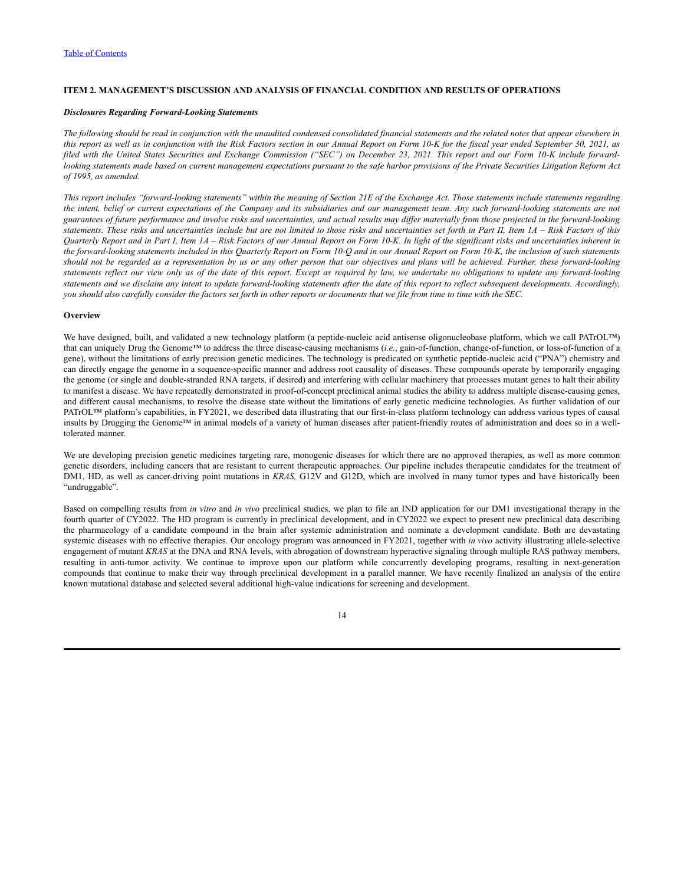### <span id="page-15-0"></span>**ITEM 2. MANAGEMENT'S DISCUSSION AND ANALYSIS OF FINANCIAL CONDITION AND RESULTS OF OPERATIONS**

#### *Disclosures Regarding Forward-Looking Statements*

The following should be read in conjunction with the unaudited condensed consolidated financial statements and the related notes that appear elsewhere in this report as well as in conjunction with the Risk Factors section in our Annual Report on Form 10-K for the fiscal year ended September 30, 2021, as filed with the United States Securities and Exchange Commission ("SEC") on December 23, 2021. This report and our Form 10-K include forwardlooking statements made based on current management expectations pursuant to the safe harbor provisions of the Private Securities Litigation Reform Act *of 1995, as amended.*

This report includes "forward-looking statements" within the meaning of Section 21E of the Exchange Act. Those statements include statements regarding the intent, belief or current expectations of the Company and its subsidiaries and our management team. Any such forward-looking statements are not guarantees of future performance and involve risks and uncertainties, and actual results may differ materially from those projected in the forward-looking statements. These risks and uncertainties include but are not limited to those risks and uncertainties set forth in Part II, Item 1A - Risk Factors of this Quarterly Report and in Part I, Item 1A - Risk Factors of our Annual Report on Form 10-K. In light of the significant risks and uncertainties inherent in the forward-looking statements included in this Quarterly Report on Form 10-Q and in our Annual Report on Form 10-K, the inclusion of such statements should not be regarded as a representation by us or any other person that our objectives and plans will be achieved. Further, these forward-looking statements reflect our view only as of the date of this report. Except as required by law, we undertake no obligations to update any forward-looking statements and we disclaim any intent to update forward-looking statements after the date of this report to reflect subsequent developments. Accordingly, you should also carefully consider the factors set forth in other reports or documents that we file from time to time with the SEC.

### **Overview**

We have designed, built, and validated a new technology platform (a peptide-nucleic acid antisense oligonucleobase platform, which we call PATrOL™) that can uniquely Drug the Genome™ to address the three disease-causing mechanisms (*i.e.*, gain-of-function, change-of-function, or loss-of-function of a gene), without the limitations of early precision genetic medicines. The technology is predicated on synthetic peptide-nucleic acid ("PNA") chemistry and can directly engage the genome in a sequence-specific manner and address root causality of diseases. These compounds operate by temporarily engaging the genome (or single and double-stranded RNA targets, if desired) and interfering with cellular machinery that processes mutant genes to halt their ability to manifest a disease. We have repeatedly demonstrated in proof-of-concept preclinical animal studies the ability to address multiple disease-causing genes, and different causal mechanisms, to resolve the disease state without the limitations of early genetic medicine technologies. As further validation of our PATrOL<sup>TM</sup> platform's capabilities, in FY2021, we described data illustrating that our first-in-class platform technology can address various types of causal insults by Drugging the Genome™ in animal models of a variety of human diseases after patient-friendly routes of administration and does so in a welltolerated manner.

We are developing precision genetic medicines targeting rare, monogenic diseases for which there are no approved therapies, as well as more common genetic disorders, including cancers that are resistant to current therapeutic approaches. Our pipeline includes therapeutic candidates for the treatment of DM1, HD, as well as cancer-driving point mutations in *KRAS,* G12V and G12D, which are involved in many tumor types and have historically been "undruggable".

Based on compelling results from *in vitro* and *in vivo* preclinical studies, we plan to file an IND application for our DM1 investigational therapy in the fourth quarter of CY2022. The HD program is currently in preclinical development, and in CY2022 we expect to present new preclinical data describing the pharmacology of a candidate compound in the brain after systemic administration and nominate a development candidate. Both are devastating systemic diseases with no effective therapies. Our oncology program was announced in FY2021, together with *in vivo* activity illustrating allele-selective engagement of mutant *KRAS* at the DNA and RNA levels, with abrogation of downstream hyperactive signaling through multiple RAS pathway members, resulting in anti-tumor activity. We continue to improve upon our platform while concurrently developing programs, resulting in next-generation compounds that continue to make their way through preclinical development in a parallel manner. We have recently finalized an analysis of the entire known mutational database and selected several additional high-value indications for screening and development.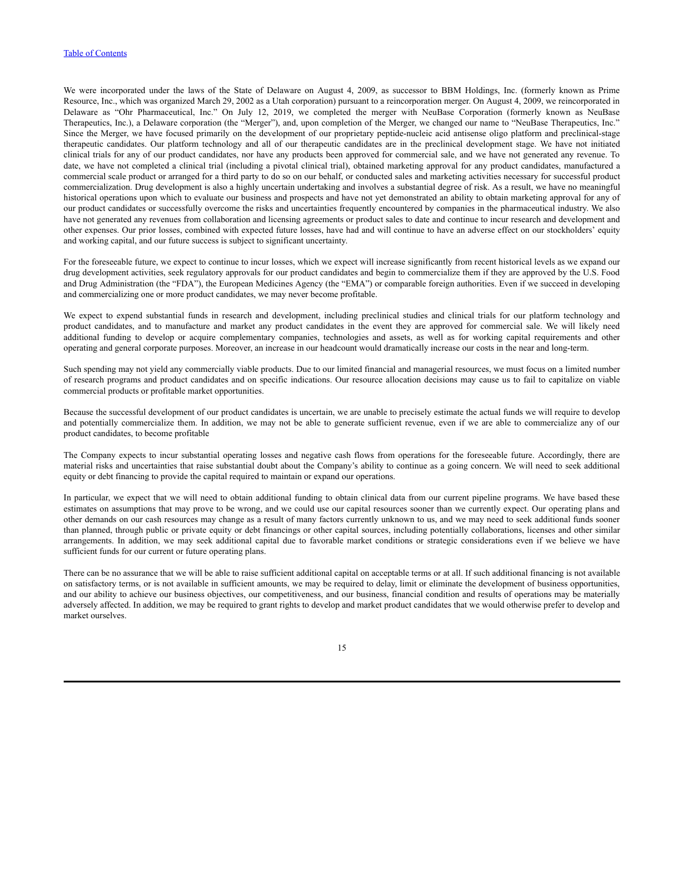We were incorporated under the laws of the State of Delaware on August 4, 2009, as successor to BBM Holdings, Inc. (formerly known as Prime Resource, Inc., which was organized March 29, 2002 as a Utah corporation) pursuant to a reincorporation merger. On August 4, 2009, we reincorporated in Delaware as "Ohr Pharmaceutical, Inc." On July 12, 2019, we completed the merger with NeuBase Corporation (formerly known as NeuBase Therapeutics, Inc.), a Delaware corporation (the "Merger"), and, upon completion of the Merger, we changed our name to "NeuBase Therapeutics, Inc." Since the Merger, we have focused primarily on the development of our proprietary peptide-nucleic acid antisense oligo platform and preclinical-stage therapeutic candidates. Our platform technology and all of our therapeutic candidates are in the preclinical development stage. We have not initiated clinical trials for any of our product candidates, nor have any products been approved for commercial sale, and we have not generated any revenue. To date, we have not completed a clinical trial (including a pivotal clinical trial), obtained marketing approval for any product candidates, manufactured a commercial scale product or arranged for a third party to do so on our behalf, or conducted sales and marketing activities necessary for successful product commercialization. Drug development is also a highly uncertain undertaking and involves a substantial degree of risk. As a result, we have no meaningful historical operations upon which to evaluate our business and prospects and have not yet demonstrated an ability to obtain marketing approval for any of our product candidates or successfully overcome the risks and uncertainties frequently encountered by companies in the pharmaceutical industry. We also have not generated any revenues from collaboration and licensing agreements or product sales to date and continue to incur research and development and other expenses. Our prior losses, combined with expected future losses, have had and will continue to have an adverse effect on our stockholders' equity and working capital, and our future success is subject to significant uncertainty.

For the foreseeable future, we expect to continue to incur losses, which we expect will increase significantly from recent historical levels as we expand our drug development activities, seek regulatory approvals for our product candidates and begin to commercialize them if they are approved by the U.S. Food and Drug Administration (the "FDA"), the European Medicines Agency (the "EMA") or comparable foreign authorities. Even if we succeed in developing and commercializing one or more product candidates, we may never become profitable.

We expect to expend substantial funds in research and development, including preclinical studies and clinical trials for our platform technology and product candidates, and to manufacture and market any product candidates in the event they are approved for commercial sale. We will likely need additional funding to develop or acquire complementary companies, technologies and assets, as well as for working capital requirements and other operating and general corporate purposes. Moreover, an increase in our headcount would dramatically increase our costs in the near and long-term.

Such spending may not yield any commercially viable products. Due to our limited financial and managerial resources, we must focus on a limited number of research programs and product candidates and on specific indications. Our resource allocation decisions may cause us to fail to capitalize on viable commercial products or profitable market opportunities.

Because the successful development of our product candidates is uncertain, we are unable to precisely estimate the actual funds we will require to develop and potentially commercialize them. In addition, we may not be able to generate sufficient revenue, even if we are able to commercialize any of our product candidates, to become profitable

The Company expects to incur substantial operating losses and negative cash flows from operations for the foreseeable future. Accordingly, there are material risks and uncertainties that raise substantial doubt about the Company's ability to continue as a going concern. We will need to seek additional equity or debt financing to provide the capital required to maintain or expand our operations.

In particular, we expect that we will need to obtain additional funding to obtain clinical data from our current pipeline programs. We have based these estimates on assumptions that may prove to be wrong, and we could use our capital resources sooner than we currently expect. Our operating plans and other demands on our cash resources may change as a result of many factors currently unknown to us, and we may need to seek additional funds sooner than planned, through public or private equity or debt financings or other capital sources, including potentially collaborations, licenses and other similar arrangements. In addition, we may seek additional capital due to favorable market conditions or strategic considerations even if we believe we have sufficient funds for our current or future operating plans.

There can be no assurance that we will be able to raise sufficient additional capital on acceptable terms or at all. If such additional financing is not available on satisfactory terms, or is not available in sufficient amounts, we may be required to delay, limit or eliminate the development of business opportunities, and our ability to achieve our business objectives, our competitiveness, and our business, financial condition and results of operations may be materially adversely affected. In addition, we may be required to grant rights to develop and market product candidates that we would otherwise prefer to develop and market ourselves.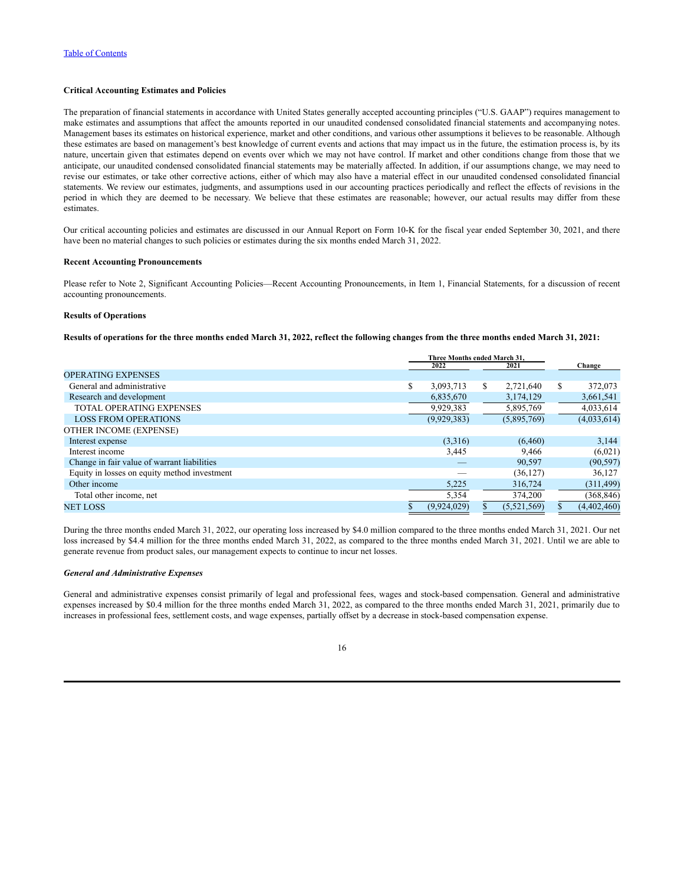### **Critical Accounting Estimates and Policies**

The preparation of financial statements in accordance with United States generally accepted accounting principles ("U.S. GAAP") requires management to make estimates and assumptions that affect the amounts reported in our unaudited condensed consolidated financial statements and accompanying notes. Management bases its estimates on historical experience, market and other conditions, and various other assumptions it believes to be reasonable. Although these estimates are based on management's best knowledge of current events and actions that may impact us in the future, the estimation process is, by its nature, uncertain given that estimates depend on events over which we may not have control. If market and other conditions change from those that we anticipate, our unaudited condensed consolidated financial statements may be materially affected. In addition, if our assumptions change, we may need to revise our estimates, or take other corrective actions, either of which may also have a material effect in our unaudited condensed consolidated financial statements. We review our estimates, judgments, and assumptions used in our accounting practices periodically and reflect the effects of revisions in the period in which they are deemed to be necessary. We believe that these estimates are reasonable; however, our actual results may differ from these estimates.

Our critical accounting policies and estimates are discussed in our Annual Report on Form 10-K for the fiscal year ended September 30, 2021, and there have been no material changes to such policies or estimates during the six months ended March 31, 2022.

### **Recent Accounting Pronouncements**

Please refer to Note 2, Significant Accounting Policies—Recent Accounting Pronouncements, in Item 1, Financial Statements, for a discussion of recent accounting pronouncements.

### **Results of Operations**

Results of operations for the three months ended March 31, 2022, reflect the following changes from the three months ended March 31, 2021:

|                                              | Three Months ended March 31. |                 |               |
|----------------------------------------------|------------------------------|-----------------|---------------|
|                                              | 2022                         | 2021            | Change        |
| <b>OPERATING EXPENSES</b>                    |                              |                 |               |
| General and administrative                   | \$<br>3,093,713              | \$<br>2,721,640 | \$<br>372,073 |
| Research and development                     | 6,835,670                    | 3,174,129       | 3,661,541     |
| <b>TOTAL OPERATING EXPENSES</b>              | 9,929,383                    | 5,895,769       | 4,033,614     |
| <b>LOSS FROM OPERATIONS</b>                  | (9,929,383)                  | (5,895,769)     | (4,033,614)   |
| OTHER INCOME (EXPENSE)                       |                              |                 |               |
| Interest expense                             | (3,316)                      | (6,460)         | 3,144         |
| Interest income                              | 3,445                        | 9.466           | (6,021)       |
| Change in fair value of warrant liabilities  |                              | 90,597          | (90, 597)     |
| Equity in losses on equity method investment |                              | (36, 127)       | 36,127        |
| Other income                                 | 5,225                        | 316,724         | (311, 499)    |
| Total other income, net                      | 5,354                        | 374,200         | (368, 846)    |
| NET LOSS                                     | (9,924,029)                  | (5,521,569)     | (4,402,460)   |

During the three months ended March 31, 2022, our operating loss increased by \$4.0 million compared to the three months ended March 31, 2021. Our net loss increased by \$4.4 million for the three months ended March 31, 2022, as compared to the three months ended March 31, 2021. Until we are able to generate revenue from product sales, our management expects to continue to incur net losses.

#### *General and Administrative Expenses*

General and administrative expenses consist primarily of legal and professional fees, wages and stock-based compensation. General and administrative expenses increased by \$0.4 million for the three months ended March 31, 2022, as compared to the three months ended March 31, 2021, primarily due to increases in professional fees, settlement costs, and wage expenses, partially offset by a decrease in stock-based compensation expense.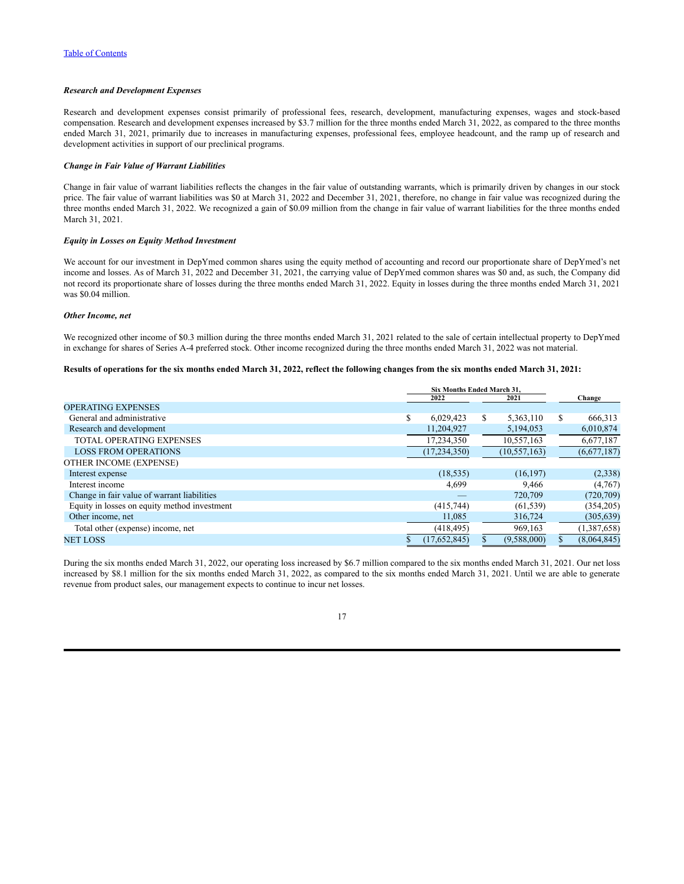### *Research and Development Expenses*

Research and development expenses consist primarily of professional fees, research, development, manufacturing expenses, wages and stock-based compensation. Research and development expenses increased by \$3.7 million for the three months ended March 31, 2022, as compared to the three months ended March 31, 2021, primarily due to increases in manufacturing expenses, professional fees, employee headcount, and the ramp up of research and development activities in support of our preclinical programs.

#### *Change in Fair Value of Warrant Liabilities*

Change in fair value of warrant liabilities reflects the changes in the fair value of outstanding warrants, which is primarily driven by changes in our stock price. The fair value of warrant liabilities was \$0 at March 31, 2022 and December 31, 2021, therefore, no change in fair value was recognized during the three months ended March 31, 2022. We recognized a gain of \$0.09 million from the change in fair value of warrant liabilities for the three months ended March 31, 2021.

#### *Equity in Losses on Equity Method Investment*

We account for our investment in DepYmed common shares using the equity method of accounting and record our proportionate share of DepYmed's net income and losses. As of March 31, 2022 and December 31, 2021, the carrying value of DepYmed common shares was \$0 and, as such, the Company did not record its proportionate share of losses during the three months ended March 31, 2022. Equity in losses during the three months ended March 31, 2021 was \$0.04 million.

### *Other Income, net*

We recognized other income of \$0.3 million during the three months ended March 31, 2021 related to the sale of certain intellectual property to DepYmed in exchange for shares of Series A-4 preferred stock. Other income recognized during the three months ended March 31, 2022 was not material.

### Results of operations for the six months ended March 31, 2022, reflect the following changes from the six months ended March 31, 2021:

|                                              | <b>Six Months Ended March 31.</b> |                |    |                |  |             |
|----------------------------------------------|-----------------------------------|----------------|----|----------------|--|-------------|
|                                              |                                   | 2022           |    | 2021           |  | Change      |
| <b>OPERATING EXPENSES</b>                    |                                   |                |    |                |  |             |
| General and administrative                   | \$                                | 6,029,423      | \$ | 5,363,110      |  | 666,313     |
| Research and development                     |                                   | 11,204,927     |    | 5,194,053      |  | 6,010,874   |
| <b>TOTAL OPERATING EXPENSES</b>              |                                   | 17,234,350     |    | 10,557,163     |  | 6,677,187   |
| <b>LOSS FROM OPERATIONS</b>                  |                                   | (17, 234, 350) |    | (10, 557, 163) |  | (6,677,187) |
| OTHER INCOME (EXPENSE)                       |                                   |                |    |                |  |             |
| Interest expense                             |                                   | (18, 535)      |    | (16, 197)      |  | (2,338)     |
| Interest income                              |                                   | 4.699          |    | 9.466          |  | (4,767)     |
| Change in fair value of warrant liabilities  |                                   |                |    | 720,709        |  | (720, 709)  |
| Equity in losses on equity method investment |                                   | (415, 744)     |    | (61, 539)      |  | (354, 205)  |
| Other income, net                            |                                   | 11,085         |    | 316,724        |  | (305, 639)  |
| Total other (expense) income, net            |                                   | (418, 495)     |    | 969,163        |  | (1,387,658) |
| <b>NET LOSS</b>                              |                                   | (17,652,845)   |    | (9,588,000)    |  | (8,064,845) |

During the six months ended March 31, 2022, our operating loss increased by \$6.7 million compared to the six months ended March 31, 2021. Our net loss increased by \$8.1 million for the six months ended March 31, 2022, as compared to the six months ended March 31, 2021. Until we are able to generate revenue from product sales, our management expects to continue to incur net losses.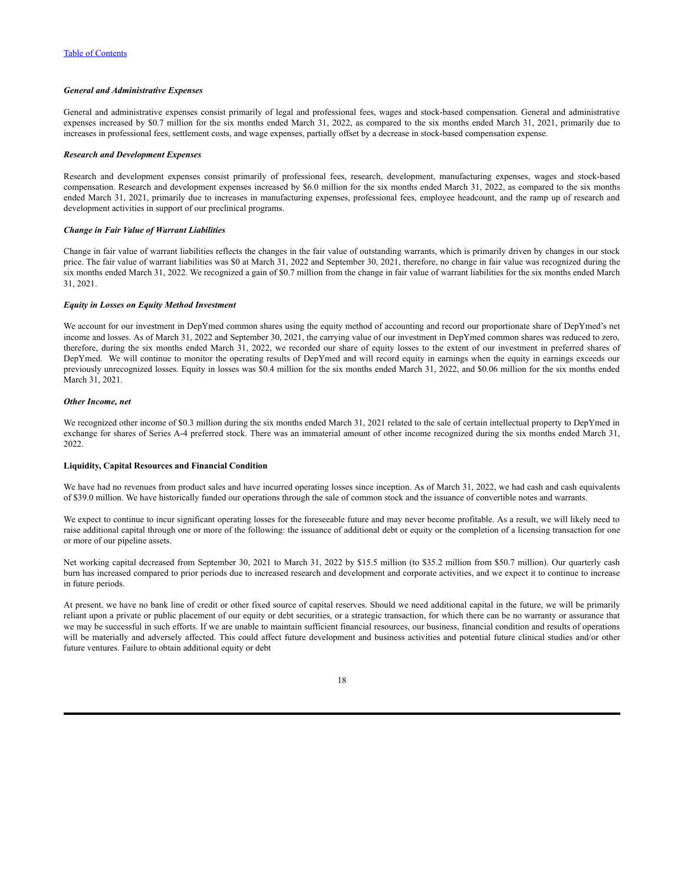#### *General and Administrative Expenses*

General and administrative expenses consist primarily of legal and professional fees, wages and stock-based compensation. General and administrative expenses increased by \$0.7 million for the six months ended March 31, 2022, as compared to the six months ended March 31, 2021, primarily due to increases in professional fees, settlement costs, and wage expenses, partially offset by a decrease in stock-based compensation expense.

#### *Research and Development Expenses*

Research and development expenses consist primarily of professional fees, research, development, manufacturing expenses, wages and stock-based compensation. Research and development expenses increased by \$6.0 million for the six months ended March 31, 2022, as compared to the six months ended March 31, 2021, primarily due to increases in manufacturing expenses, professional fees, employee headcount, and the ramp up of research and development activities in support of our preclinical programs.

#### *Change in Fair Value of Warrant Liabilities*

Change in fair value of warrant liabilities reflects the changes in the fair value of outstanding warrants, which is primarily driven by changes in our stock price. The fair value of warrant liabilities was \$0 at March 31, 2022 and September 30, 2021, therefore, no change in fair value was recognized during the six months ended March 31, 2022. We recognized a gain of \$0.7 million from the change in fair value of warrant liabilities for the six months ended March 31, 2021.

#### *Equity in Losses on Equity Method Investment*

We account for our investment in DepYmed common shares using the equity method of accounting and record our proportionate share of DepYmed's net income and losses. As of March 31, 2022 and September 30, 2021, the carrying value of our investment in DepYmed common shares was reduced to zero, therefore, during the six months ended March 31, 2022, we recorded our share of equity losses to the extent of our investment in preferred shares of DepYmed. We will continue to monitor the operating results of DepYmed and will record equity in earnings when the equity in earnings exceeds our previously unrecognized losses. Equity in losses was \$0.4 million for the six months ended March 31, 2022, and \$0.06 million for the six months ended March 31, 2021.

#### *Other Income, net*

We recognized other income of \$0.3 million during the six months ended March 31, 2021 related to the sale of certain intellectual property to DepYmed in exchange for shares of Series A-4 preferred stock. There was an immaterial amount of other income recognized during the six months ended March 31, 2022.

#### **Liquidity, Capital Resources and Financial Condition**

We have had no revenues from product sales and have incurred operating losses since inception. As of March 31, 2022, we had cash and cash equivalents of \$39.0 million. We have historically funded our operations through the sale of common stock and the issuance of convertible notes and warrants.

We expect to continue to incur significant operating losses for the foreseeable future and may never become profitable. As a result, we will likely need to raise additional capital through one or more of the following: the issuance of additional debt or equity or the completion of a licensing transaction for one or more of our pipeline assets.

Net working capital decreased from September 30, 2021 to March 31, 2022 by \$15.5 million (to \$35.2 million from \$50.7 million). Our quarterly cash burn has increased compared to prior periods due to increased research and development and corporate activities, and we expect it to continue to increase in future periods.

At present, we have no bank line of credit or other fixed source of capital reserves. Should we need additional capital in the future, we will be primarily reliant upon a private or public placement of our equity or debt securities, or a strategic transaction, for which there can be no warranty or assurance that we may be successful in such efforts. If we are unable to maintain sufficient financial resources, our business, financial condition and results of operations will be materially and adversely affected. This could affect future development and business activities and potential future clinical studies and/or other future ventures. Failure to obtain additional equity or debt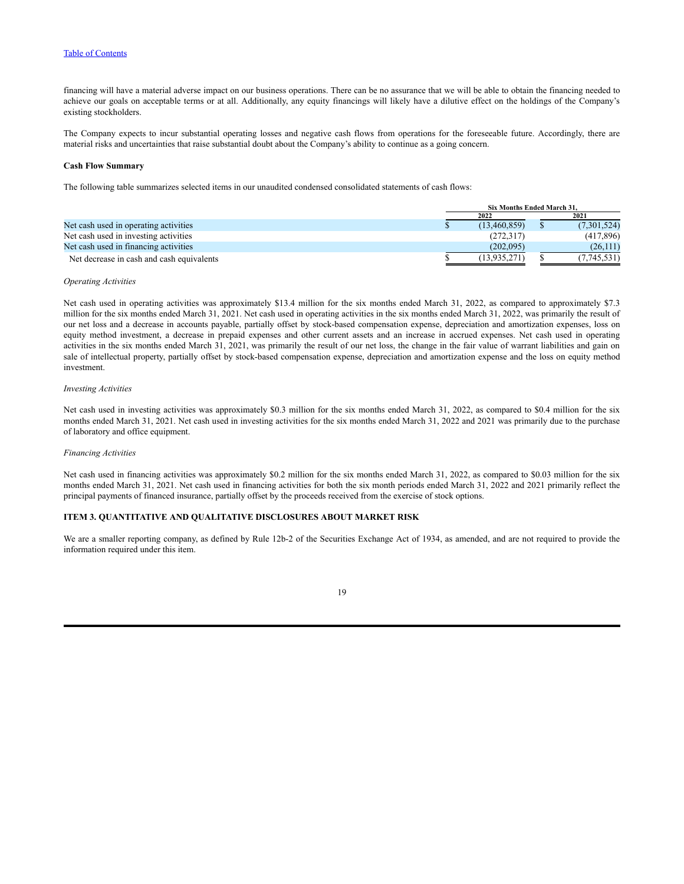### Table of [Contents](#page-1-0)

financing will have a material adverse impact on our business operations. There can be no assurance that we will be able to obtain the financing needed to achieve our goals on acceptable terms or at all. Additionally, any equity financings will likely have a dilutive effect on the holdings of the Company's existing stockholders.

The Company expects to incur substantial operating losses and negative cash flows from operations for the foreseeable future. Accordingly, there are material risks and uncertainties that raise substantial doubt about the Company's ability to continue as a going concern.

### **Cash Flow Summary**

The following table summarizes selected items in our unaudited condensed consolidated statements of cash flows:

|                                           |  | Six Months Ended March 31. |              |  |      |             |  |
|-------------------------------------------|--|----------------------------|--------------|--|------|-------------|--|
|                                           |  |                            | 2022         |  | 2021 |             |  |
| Net cash used in operating activities     |  |                            | (13,460,859) |  |      | (7,301,524) |  |
| Net cash used in investing activities     |  |                            | (272.317)    |  |      | (417,896)   |  |
| Net cash used in financing activities     |  |                            | (202.095)    |  |      | (26,111)    |  |
| Net decrease in cash and cash equivalents |  |                            | (13,935,271) |  |      | 7,745,531)  |  |

#### *Operating Activities*

Net cash used in operating activities was approximately \$13.4 million for the six months ended March 31, 2022, as compared to approximately \$7.3 million for the six months ended March 31, 2021. Net cash used in operating activities in the six months ended March 31, 2022, was primarily the result of our net loss and a decrease in accounts payable, partially offset by stock-based compensation expense, depreciation and amortization expenses, loss on equity method investment, a decrease in prepaid expenses and other current assets and an increase in accrued expenses. Net cash used in operating activities in the six months ended March 31, 2021, was primarily the result of our net loss, the change in the fair value of warrant liabilities and gain on sale of intellectual property, partially offset by stock-based compensation expense, depreciation and amortization expense and the loss on equity method investment.

### *Investing Activities*

Net cash used in investing activities was approximately \$0.3 million for the six months ended March 31, 2022, as compared to \$0.4 million for the six months ended March 31, 2021. Net cash used in investing activities for the six months ended March 31, 2022 and 2021 was primarily due to the purchase of laboratory and office equipment.

### *Financing Activities*

Net cash used in financing activities was approximately \$0.2 million for the six months ended March 31, 2022, as compared to \$0.03 million for the six months ended March 31, 2021. Net cash used in financing activities for both the six month periods ended March 31, 2022 and 2021 primarily reflect the principal payments of financed insurance, partially offset by the proceeds received from the exercise of stock options.

### <span id="page-20-0"></span>**ITEM 3. QUANTITATIVE AND QUALITATIVE DISCLOSURES ABOUT MARKET RISK**

We are a smaller reporting company, as defined by Rule 12b-2 of the Securities Exchange Act of 1934, as amended, and are not required to provide the information required under this item.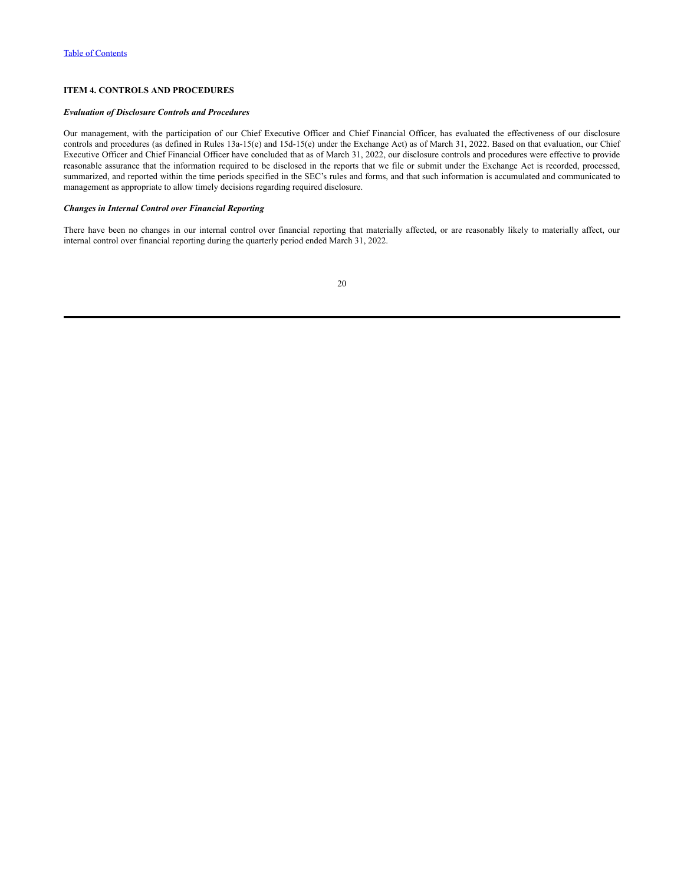### <span id="page-21-0"></span>**ITEM 4. CONTROLS AND PROCEDURES**

### *Evaluation of Disclosure Controls and Procedures*

Our management, with the participation of our Chief Executive Officer and Chief Financial Officer, has evaluated the effectiveness of our disclosure controls and procedures (as defined in Rules 13a-15(e) and 15d-15(e) under the Exchange Act) as of March 31, 2022. Based on that evaluation, our Chief Executive Officer and Chief Financial Officer have concluded that as of March 31, 2022, our disclosure controls and procedures were effective to provide reasonable assurance that the information required to be disclosed in the reports that we file or submit under the Exchange Act is recorded, processed, summarized, and reported within the time periods specified in the SEC's rules and forms, and that such information is accumulated and communicated to management as appropriate to allow timely decisions regarding required disclosure.

### *Changes in Internal Control over Financial Reporting*

There have been no changes in our internal control over financial reporting that materially affected, or are reasonably likely to materially affect, our internal control over financial reporting during the quarterly period ended March 31, 2022.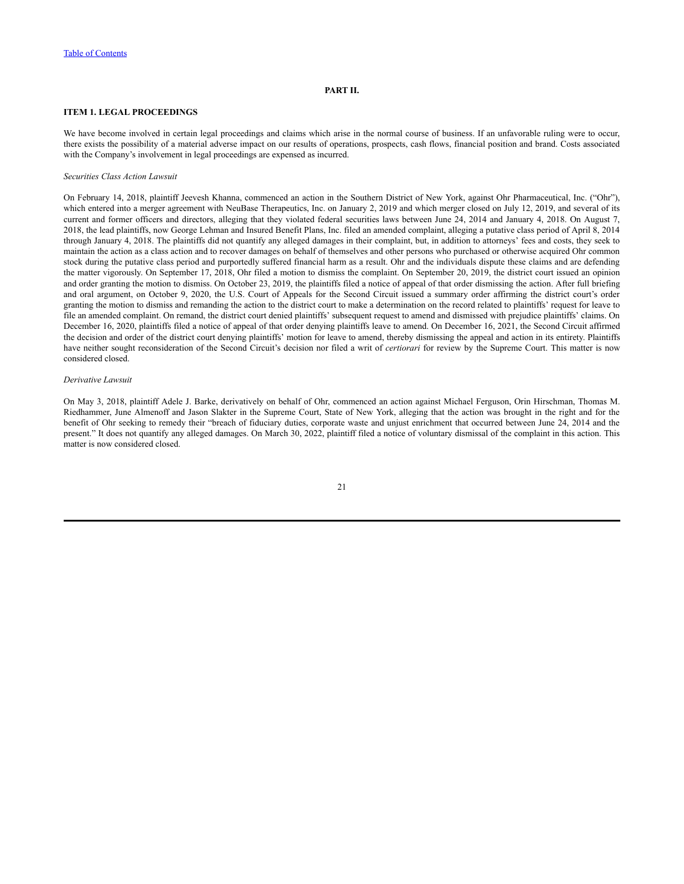### **PART II.**

### <span id="page-22-1"></span><span id="page-22-0"></span>**ITEM 1. LEGAL PROCEEDINGS**

We have become involved in certain legal proceedings and claims which arise in the normal course of business. If an unfavorable ruling were to occur, there exists the possibility of a material adverse impact on our results of operations, prospects, cash flows, financial position and brand. Costs associated with the Company's involvement in legal proceedings are expensed as incurred.

#### *Securities Class Action Lawsuit*

On February 14, 2018, plaintiff Jeevesh Khanna, commenced an action in the Southern District of New York, against Ohr Pharmaceutical, Inc. ("Ohr"), which entered into a merger agreement with NeuBase Therapeutics, Inc. on January 2, 2019 and which merger closed on July 12, 2019, and several of its current and former officers and directors, alleging that they violated federal securities laws between June 24, 2014 and January 4, 2018. On August 7, 2018, the lead plaintiffs, now George Lehman and Insured Benefit Plans, Inc. filed an amended complaint, alleging a putative class period of April 8, 2014 through January 4, 2018. The plaintiffs did not quantify any alleged damages in their complaint, but, in addition to attorneys' fees and costs, they seek to maintain the action as a class action and to recover damages on behalf of themselves and other persons who purchased or otherwise acquired Ohr common stock during the putative class period and purportedly suffered financial harm as a result. Ohr and the individuals dispute these claims and are defending the matter vigorously. On September 17, 2018, Ohr filed a motion to dismiss the complaint. On September 20, 2019, the district court issued an opinion and order granting the motion to dismiss. On October 23, 2019, the plaintiffs filed a notice of appeal of that order dismissing the action. After full briefing and oral argument, on October 9, 2020, the U.S. Court of Appeals for the Second Circuit issued a summary order affirming the district court's order granting the motion to dismiss and remanding the action to the district court to make a determination on the record related to plaintiffs' request for leave to file an amended complaint. On remand, the district court denied plaintiffs' subsequent request to amend and dismissed with prejudice plaintiffs' claims. On December 16, 2020, plaintiffs filed a notice of appeal of that order denying plaintiffs leave to amend. On December 16, 2021, the Second Circuit affirmed the decision and order of the district court denying plaintiffs' motion for leave to amend, thereby dismissing the appeal and action in its entirety. Plaintiffs have neither sought reconsideration of the Second Circuit's decision nor filed a writ of *certiorari* for review by the Supreme Court. This matter is now considered closed.

#### *Derivative Lawsuit*

On May 3, 2018, plaintiff Adele J. Barke, derivatively on behalf of Ohr, commenced an action against Michael Ferguson, Orin Hirschman, Thomas M. Riedhammer, June Almenoff and Jason Slakter in the Supreme Court, State of New York, alleging that the action was brought in the right and for the benefit of Ohr seeking to remedy their "breach of fiduciary duties, corporate waste and unjust enrichment that occurred between June 24, 2014 and the present." It does not quantify any alleged damages. On March 30, 2022, plaintiff filed a notice of voluntary dismissal of the complaint in this action. This matter is now considered closed.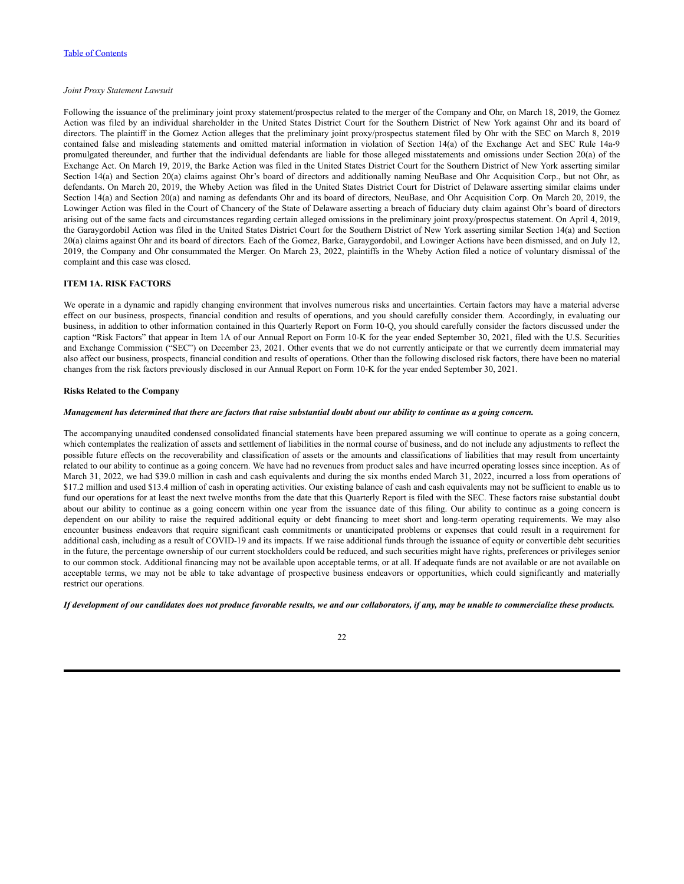### *Joint Proxy Statement Lawsuit*

Following the issuance of the preliminary joint proxy statement/prospectus related to the merger of the Company and Ohr, on March 18, 2019, the Gomez Action was filed by an individual shareholder in the United States District Court for the Southern District of New York against Ohr and its board of directors. The plaintiff in the Gomez Action alleges that the preliminary joint proxy/prospectus statement filed by Ohr with the SEC on March 8, 2019 contained false and misleading statements and omitted material information in violation of Section 14(a) of the Exchange Act and SEC Rule 14a-9 promulgated thereunder, and further that the individual defendants are liable for those alleged misstatements and omissions under Section 20(a) of the Exchange Act. On March 19, 2019, the Barke Action was filed in the United States District Court for the Southern District of New York asserting similar Section 14(a) and Section 20(a) claims against Ohr's board of directors and additionally naming NeuBase and Ohr Acquisition Corp., but not Ohr, as defendants. On March 20, 2019, the Wheby Action was filed in the United States District Court for District of Delaware asserting similar claims under Section 14(a) and Section 20(a) and naming as defendants Ohr and its board of directors, NeuBase, and Ohr Acquisition Corp. On March 20, 2019, the Lowinger Action was filed in the Court of Chancery of the State of Delaware asserting a breach of fiduciary duty claim against Ohr's board of directors arising out of the same facts and circumstances regarding certain alleged omissions in the preliminary joint proxy/prospectus statement. On April 4, 2019, the Garaygordobil Action was filed in the United States District Court for the Southern District of New York asserting similar Section 14(a) and Section 20(a) claims against Ohr and its board of directors. Each of the Gomez, Barke, Garaygordobil, and Lowinger Actions have been dismissed, and on July 12, 2019, the Company and Ohr consummated the Merger. On March 23, 2022, plaintiffs in the Wheby Action filed a notice of voluntary dismissal of the complaint and this case was closed.

### <span id="page-23-0"></span>**ITEM 1A. RISK FACTORS**

We operate in a dynamic and rapidly changing environment that involves numerous risks and uncertainties. Certain factors may have a material adverse effect on our business, prospects, financial condition and results of operations, and you should carefully consider them. Accordingly, in evaluating our business, in addition to other information contained in this Quarterly Report on Form 10-Q, you should carefully consider the factors discussed under the caption "Risk Factors" that appear in Item 1A of our Annual Report on Form 10-K for the year ended September 30, 2021, filed with the U.S. Securities and Exchange Commission ("SEC") on December 23, 2021. Other events that we do not currently anticipate or that we currently deem immaterial may also affect our business, prospects, financial condition and results of operations. Other than the following disclosed risk factors, there have been no material changes from the risk factors previously disclosed in our Annual Report on Form 10-K for the year ended September 30, 2021.

### **Risks Related to the Company**

#### Management has determined that there are factors that raise substantial doubt about our ability to continue as a going concern.

The accompanying unaudited condensed consolidated financial statements have been prepared assuming we will continue to operate as a going concern, which contemplates the realization of assets and settlement of liabilities in the normal course of business, and do not include any adjustments to reflect the possible future effects on the recoverability and classification of assets or the amounts and classifications of liabilities that may result from uncertainty related to our ability to continue as a going concern. We have had no revenues from product sales and have incurred operating losses since inception. As of March 31, 2022, we had \$39.0 million in cash and cash equivalents and during the six months ended March 31, 2022, incurred a loss from operations of \$17.2 million and used \$13.4 million of cash in operating activities. Our existing balance of cash and cash equivalents may not be sufficient to enable us to fund our operations for at least the next twelve months from the date that this Quarterly Report is filed with the SEC. These factors raise substantial doubt about our ability to continue as a going concern within one year from the issuance date of this filing. Our ability to continue as a going concern is dependent on our ability to raise the required additional equity or debt financing to meet short and long-term operating requirements. We may also encounter business endeavors that require significant cash commitments or unanticipated problems or expenses that could result in a requirement for additional cash, including as a result of COVID-19 and its impacts. If we raise additional funds through the issuance of equity or convertible debt securities in the future, the percentage ownership of our current stockholders could be reduced, and such securities might have rights, preferences or privileges senior to our common stock. Additional financing may not be available upon acceptable terms, or at all. If adequate funds are not available or are not available on acceptable terms, we may not be able to take advantage of prospective business endeavors or opportunities, which could significantly and materially restrict our operations.

### If development of our candidates does not produce favorable results, we and our collaborators, if any, may be unable to commercialize these products.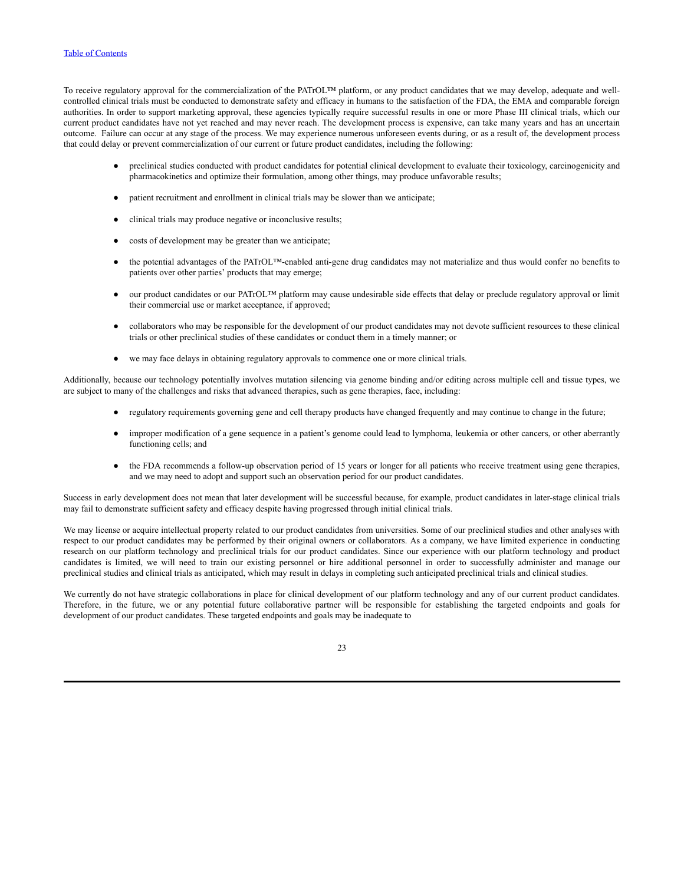To receive regulatory approval for the commercialization of the PATrOL™ platform, or any product candidates that we may develop, adequate and wellcontrolled clinical trials must be conducted to demonstrate safety and efficacy in humans to the satisfaction of the FDA, the EMA and comparable foreign authorities. In order to support marketing approval, these agencies typically require successful results in one or more Phase III clinical trials, which our current product candidates have not yet reached and may never reach. The development process is expensive, can take many years and has an uncertain outcome. Failure can occur at any stage of the process. We may experience numerous unforeseen events during, or as a result of, the development process that could delay or prevent commercialization of our current or future product candidates, including the following:

- preclinical studies conducted with product candidates for potential clinical development to evaluate their toxicology, carcinogenicity and pharmacokinetics and optimize their formulation, among other things, may produce unfavorable results;
- patient recruitment and enrollment in clinical trials may be slower than we anticipate;
- clinical trials may produce negative or inconclusive results;
- costs of development may be greater than we anticipate;
- the potential advantages of the PATrOL™-enabled anti-gene drug candidates may not materialize and thus would confer no benefits to patients over other parties' products that may emerge;
- our product candidates or our PATrOL™ platform may cause undesirable side effects that delay or preclude regulatory approval or limit their commercial use or market acceptance, if approved;
- collaborators who may be responsible for the development of our product candidates may not devote sufficient resources to these clinical trials or other preclinical studies of these candidates or conduct them in a timely manner; or
- we may face delays in obtaining regulatory approvals to commence one or more clinical trials.

Additionally, because our technology potentially involves mutation silencing via genome binding and/or editing across multiple cell and tissue types, we are subject to many of the challenges and risks that advanced therapies, such as gene therapies, face, including:

- regulatory requirements governing gene and cell therapy products have changed frequently and may continue to change in the future;
- improper modification of a gene sequence in a patient's genome could lead to lymphoma, leukemia or other cancers, or other aberrantly functioning cells; and
- the FDA recommends a follow-up observation period of 15 years or longer for all patients who receive treatment using gene therapies, and we may need to adopt and support such an observation period for our product candidates.

Success in early development does not mean that later development will be successful because, for example, product candidates in later-stage clinical trials may fail to demonstrate sufficient safety and efficacy despite having progressed through initial clinical trials.

We may license or acquire intellectual property related to our product candidates from universities. Some of our preclinical studies and other analyses with respect to our product candidates may be performed by their original owners or collaborators. As a company, we have limited experience in conducting research on our platform technology and preclinical trials for our product candidates. Since our experience with our platform technology and product candidates is limited, we will need to train our existing personnel or hire additional personnel in order to successfully administer and manage our preclinical studies and clinical trials as anticipated, which may result in delays in completing such anticipated preclinical trials and clinical studies.

We currently do not have strategic collaborations in place for clinical development of our platform technology and any of our current product candidates. Therefore, in the future, we or any potential future collaborative partner will be responsible for establishing the targeted endpoints and goals for development of our product candidates. These targeted endpoints and goals may be inadequate to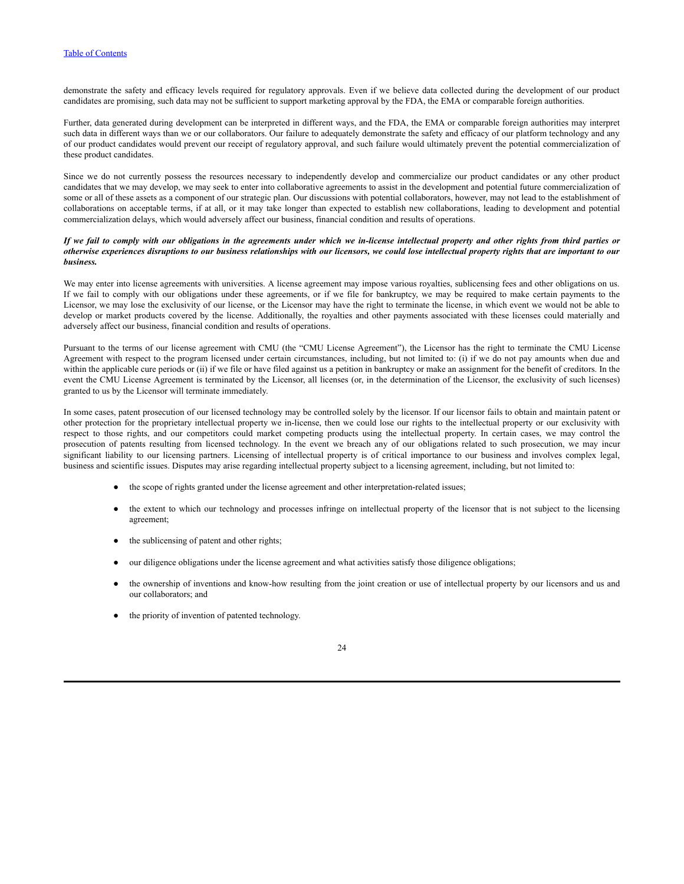demonstrate the safety and efficacy levels required for regulatory approvals. Even if we believe data collected during the development of our product candidates are promising, such data may not be sufficient to support marketing approval by the FDA, the EMA or comparable foreign authorities.

Further, data generated during development can be interpreted in different ways, and the FDA, the EMA or comparable foreign authorities may interpret such data in different ways than we or our collaborators. Our failure to adequately demonstrate the safety and efficacy of our platform technology and any of our product candidates would prevent our receipt of regulatory approval, and such failure would ultimately prevent the potential commercialization of these product candidates.

Since we do not currently possess the resources necessary to independently develop and commercialize our product candidates or any other product candidates that we may develop, we may seek to enter into collaborative agreements to assist in the development and potential future commercialization of some or all of these assets as a component of our strategic plan. Our discussions with potential collaborators, however, may not lead to the establishment of collaborations on acceptable terms, if at all, or it may take longer than expected to establish new collaborations, leading to development and potential commercialization delays, which would adversely affect our business, financial condition and results of operations.

#### If we fail to comply with our obligations in the agreements under which we in-license intellectual property and other rights from third parties or otherwise experiences disruptions to our business relationships with our licensors, we could lose intellectual property rights that are important to our *business.*

We may enter into license agreements with universities. A license agreement may impose various royalties, sublicensing fees and other obligations on us. If we fail to comply with our obligations under these agreements, or if we file for bankruptcy, we may be required to make certain payments to the Licensor, we may lose the exclusivity of our license, or the Licensor may have the right to terminate the license, in which event we would not be able to develop or market products covered by the license. Additionally, the royalties and other payments associated with these licenses could materially and adversely affect our business, financial condition and results of operations.

Pursuant to the terms of our license agreement with CMU (the "CMU License Agreement"), the Licensor has the right to terminate the CMU License Agreement with respect to the program licensed under certain circumstances, including, but not limited to: (i) if we do not pay amounts when due and within the applicable cure periods or (ii) if we file or have filed against us a petition in bankruptcy or make an assignment for the benefit of creditors. In the event the CMU License Agreement is terminated by the Licensor, all licenses (or, in the determination of the Licensor, the exclusivity of such licenses) granted to us by the Licensor will terminate immediately.

In some cases, patent prosecution of our licensed technology may be controlled solely by the licensor. If our licensor fails to obtain and maintain patent or other protection for the proprietary intellectual property we in-license, then we could lose our rights to the intellectual property or our exclusivity with respect to those rights, and our competitors could market competing products using the intellectual property. In certain cases, we may control the prosecution of patents resulting from licensed technology. In the event we breach any of our obligations related to such prosecution, we may incur significant liability to our licensing partners. Licensing of intellectual property is of critical importance to our business and involves complex legal, business and scientific issues. Disputes may arise regarding intellectual property subject to a licensing agreement, including, but not limited to:

- the scope of rights granted under the license agreement and other interpretation-related issues;
- the extent to which our technology and processes infringe on intellectual property of the licensor that is not subject to the licensing agreement;
- the sublicensing of patent and other rights;
- our diligence obligations under the license agreement and what activities satisfy those diligence obligations;
- the ownership of inventions and know-how resulting from the joint creation or use of intellectual property by our licensors and us and our collaborators; and
- the priority of invention of patented technology.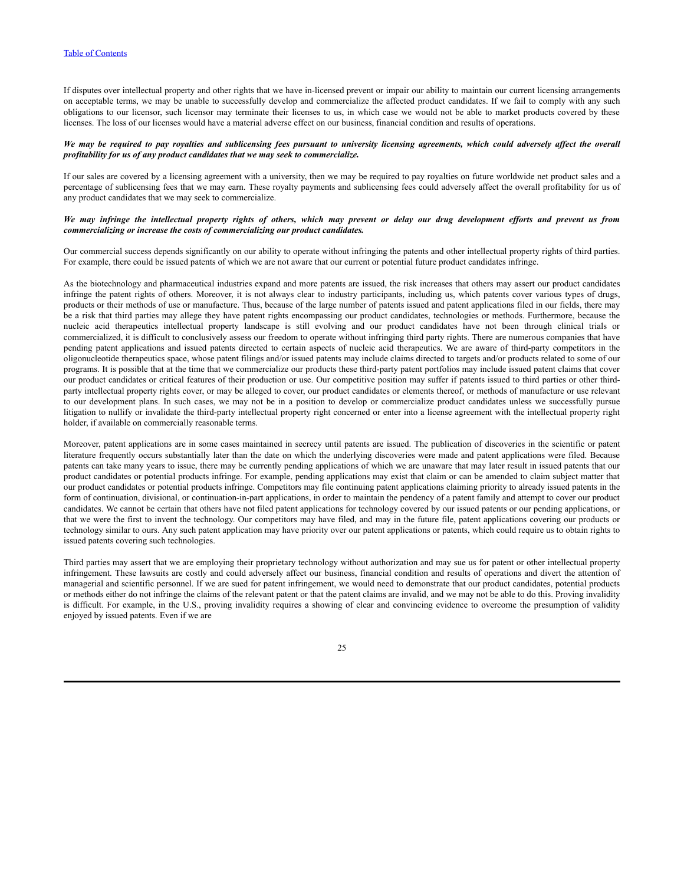If disputes over intellectual property and other rights that we have in-licensed prevent or impair our ability to maintain our current licensing arrangements on acceptable terms, we may be unable to successfully develop and commercialize the affected product candidates. If we fail to comply with any such obligations to our licensor, such licensor may terminate their licenses to us, in which case we would not be able to market products covered by these licenses. The loss of our licenses would have a material adverse effect on our business, financial condition and results of operations.

#### We may be required to pay royalties and sublicensing fees pursuant to university licensing agreements, which could adversely affect the overall *profitability for us of any product candidates that we may seek to commercialize.*

If our sales are covered by a licensing agreement with a university, then we may be required to pay royalties on future worldwide net product sales and a percentage of sublicensing fees that we may earn. These royalty payments and sublicensing fees could adversely affect the overall profitability for us of any product candidates that we may seek to commercialize.

### We may infringe the intellectual property rights of others, which may prevent or delay our drug development efforts and prevent us from *commercializing or increase the costs of commercializing our product candidates.*

Our commercial success depends significantly on our ability to operate without infringing the patents and other intellectual property rights of third parties. For example, there could be issued patents of which we are not aware that our current or potential future product candidates infringe.

As the biotechnology and pharmaceutical industries expand and more patents are issued, the risk increases that others may assert our product candidates infringe the patent rights of others. Moreover, it is not always clear to industry participants, including us, which patents cover various types of drugs, products or their methods of use or manufacture. Thus, because of the large number of patents issued and patent applications filed in our fields, there may be a risk that third parties may allege they have patent rights encompassing our product candidates, technologies or methods. Furthermore, because the nucleic acid therapeutics intellectual property landscape is still evolving and our product candidates have not been through clinical trials or commercialized, it is difficult to conclusively assess our freedom to operate without infringing third party rights. There are numerous companies that have pending patent applications and issued patents directed to certain aspects of nucleic acid therapeutics. We are aware of third-party competitors in the oligonucleotide therapeutics space, whose patent filings and/or issued patents may include claims directed to targets and/or products related to some of our programs. It is possible that at the time that we commercialize our products these third-party patent portfolios may include issued patent claims that cover our product candidates or critical features of their production or use. Our competitive position may suffer if patents issued to third parties or other thirdparty intellectual property rights cover, or may be alleged to cover, our product candidates or elements thereof, or methods of manufacture or use relevant to our development plans. In such cases, we may not be in a position to develop or commercialize product candidates unless we successfully pursue litigation to nullify or invalidate the third-party intellectual property right concerned or enter into a license agreement with the intellectual property right holder, if available on commercially reasonable terms.

Moreover, patent applications are in some cases maintained in secrecy until patents are issued. The publication of discoveries in the scientific or patent literature frequently occurs substantially later than the date on which the underlying discoveries were made and patent applications were filed. Because patents can take many years to issue, there may be currently pending applications of which we are unaware that may later result in issued patents that our product candidates or potential products infringe. For example, pending applications may exist that claim or can be amended to claim subject matter that our product candidates or potential products infringe. Competitors may file continuing patent applications claiming priority to already issued patents in the form of continuation, divisional, or continuation-in-part applications, in order to maintain the pendency of a patent family and attempt to cover our product candidates. We cannot be certain that others have not filed patent applications for technology covered by our issued patents or our pending applications, or that we were the first to invent the technology. Our competitors may have filed, and may in the future file, patent applications covering our products or technology similar to ours. Any such patent application may have priority over our patent applications or patents, which could require us to obtain rights to issued patents covering such technologies.

Third parties may assert that we are employing their proprietary technology without authorization and may sue us for patent or other intellectual property infringement. These lawsuits are costly and could adversely affect our business, financial condition and results of operations and divert the attention of managerial and scientific personnel. If we are sued for patent infringement, we would need to demonstrate that our product candidates, potential products or methods either do not infringe the claims of the relevant patent or that the patent claims are invalid, and we may not be able to do this. Proving invalidity is difficult. For example, in the U.S., proving invalidity requires a showing of clear and convincing evidence to overcome the presumption of validity enjoyed by issued patents. Even if we are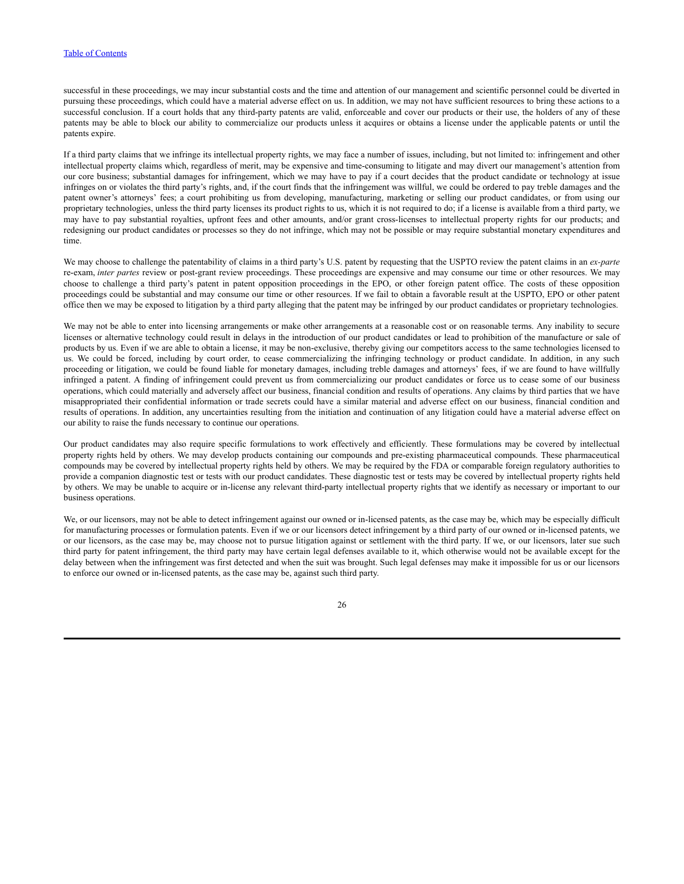### Table of [Contents](#page-1-0)

successful in these proceedings, we may incur substantial costs and the time and attention of our management and scientific personnel could be diverted in pursuing these proceedings, which could have a material adverse effect on us. In addition, we may not have sufficient resources to bring these actions to a successful conclusion. If a court holds that any third-party patents are valid, enforceable and cover our products or their use, the holders of any of these patents may be able to block our ability to commercialize our products unless it acquires or obtains a license under the applicable patents or until the patents expire.

If a third party claims that we infringe its intellectual property rights, we may face a number of issues, including, but not limited to: infringement and other intellectual property claims which, regardless of merit, may be expensive and time-consuming to litigate and may divert our management's attention from our core business; substantial damages for infringement, which we may have to pay if a court decides that the product candidate or technology at issue infringes on or violates the third party's rights, and, if the court finds that the infringement was willful, we could be ordered to pay treble damages and the patent owner's attorneys' fees; a court prohibiting us from developing, manufacturing, marketing or selling our product candidates, or from using our proprietary technologies, unless the third party licenses its product rights to us, which it is not required to do; if a license is available from a third party, we may have to pay substantial royalties, upfront fees and other amounts, and/or grant cross-licenses to intellectual property rights for our products; and redesigning our product candidates or processes so they do not infringe, which may not be possible or may require substantial monetary expenditures and time.

We may choose to challenge the patentability of claims in a third party's U.S. patent by requesting that the USPTO review the patent claims in an *ex-parte* re-exam, *inter partes* review or post-grant review proceedings. These proceedings are expensive and may consume our time or other resources. We may choose to challenge a third party's patent in patent opposition proceedings in the EPO, or other foreign patent office. The costs of these opposition proceedings could be substantial and may consume our time or other resources. If we fail to obtain a favorable result at the USPTO, EPO or other patent office then we may be exposed to litigation by a third party alleging that the patent may be infringed by our product candidates or proprietary technologies.

We may not be able to enter into licensing arrangements or make other arrangements at a reasonable cost or on reasonable terms. Any inability to secure licenses or alternative technology could result in delays in the introduction of our product candidates or lead to prohibition of the manufacture or sale of products by us. Even if we are able to obtain a license, it may be non-exclusive, thereby giving our competitors access to the same technologies licensed to us. We could be forced, including by court order, to cease commercializing the infringing technology or product candidate. In addition, in any such proceeding or litigation, we could be found liable for monetary damages, including treble damages and attorneys' fees, if we are found to have willfully infringed a patent. A finding of infringement could prevent us from commercializing our product candidates or force us to cease some of our business operations, which could materially and adversely affect our business, financial condition and results of operations. Any claims by third parties that we have misappropriated their confidential information or trade secrets could have a similar material and adverse effect on our business, financial condition and results of operations. In addition, any uncertainties resulting from the initiation and continuation of any litigation could have a material adverse effect on our ability to raise the funds necessary to continue our operations.

Our product candidates may also require specific formulations to work effectively and efficiently. These formulations may be covered by intellectual property rights held by others. We may develop products containing our compounds and pre-existing pharmaceutical compounds. These pharmaceutical compounds may be covered by intellectual property rights held by others. We may be required by the FDA or comparable foreign regulatory authorities to provide a companion diagnostic test or tests with our product candidates. These diagnostic test or tests may be covered by intellectual property rights held by others. We may be unable to acquire or in-license any relevant third-party intellectual property rights that we identify as necessary or important to our business operations.

We, or our licensors, may not be able to detect infringement against our owned or in-licensed patents, as the case may be, which may be especially difficult for manufacturing processes or formulation patents. Even if we or our licensors detect infringement by a third party of our owned or in-licensed patents, we or our licensors, as the case may be, may choose not to pursue litigation against or settlement with the third party. If we, or our licensors, later sue such third party for patent infringement, the third party may have certain legal defenses available to it, which otherwise would not be available except for the delay between when the infringement was first detected and when the suit was brought. Such legal defenses may make it impossible for us or our licensors to enforce our owned or in-licensed patents, as the case may be, against such third party.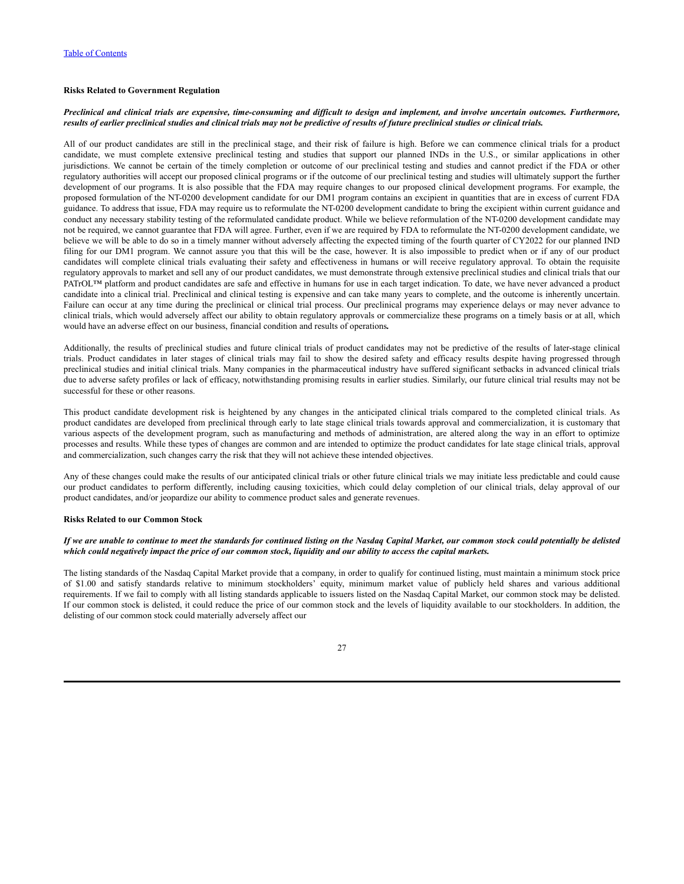### **Risks Related to Government Regulation**

### Preclinical and clinical trials are expensive, time-consuming and difficult to design and implement, and involve uncertain outcomes. Furthermore, results of earlier preclinical studies and clinical trials may not be predictive of results of future preclinical studies or clinical trials.

All of our product candidates are still in the preclinical stage, and their risk of failure is high. Before we can commence clinical trials for a product candidate, we must complete extensive preclinical testing and studies that support our planned INDs in the U.S., or similar applications in other jurisdictions. We cannot be certain of the timely completion or outcome of our preclinical testing and studies and cannot predict if the FDA or other regulatory authorities will accept our proposed clinical programs or if the outcome of our preclinical testing and studies will ultimately support the further development of our programs. It is also possible that the FDA may require changes to our proposed clinical development programs. For example, the proposed formulation of the NT-0200 development candidate for our DM1 program contains an excipient in quantities that are in excess of current FDA guidance. To address that issue, FDA may require us to reformulate the NT-0200 development candidate to bring the excipient within current guidance and conduct any necessary stability testing of the reformulated candidate product. While we believe reformulation of the NT-0200 development candidate may not be required, we cannot guarantee that FDA will agree. Further, even if we are required by FDA to reformulate the NT-0200 development candidate, we believe we will be able to do so in a timely manner without adversely affecting the expected timing of the fourth quarter of CY2022 for our planned IND filing for our DM1 program. We cannot assure you that this will be the case, however. It is also impossible to predict when or if any of our product candidates will complete clinical trials evaluating their safety and effectiveness in humans or will receive regulatory approval. To obtain the requisite regulatory approvals to market and sell any of our product candidates, we must demonstrate through extensive preclinical studies and clinical trials that our PATrOL<sup>™</sup> platform and product candidates are safe and effective in humans for use in each target indication. To date, we have never advanced a product candidate into a clinical trial. Preclinical and clinical testing is expensive and can take many years to complete, and the outcome is inherently uncertain. Failure can occur at any time during the preclinical or clinical trial process. Our preclinical programs may experience delays or may never advance to clinical trials, which would adversely affect our ability to obtain regulatory approvals or commercialize these programs on a timely basis or at all, which would have an adverse effect on our business, financial condition and results of operations*.*

Additionally, the results of preclinical studies and future clinical trials of product candidates may not be predictive of the results of later-stage clinical trials. Product candidates in later stages of clinical trials may fail to show the desired safety and efficacy results despite having progressed through preclinical studies and initial clinical trials. Many companies in the pharmaceutical industry have suffered significant setbacks in advanced clinical trials due to adverse safety profiles or lack of efficacy, notwithstanding promising results in earlier studies. Similarly, our future clinical trial results may not be successful for these or other reasons.

This product candidate development risk is heightened by any changes in the anticipated clinical trials compared to the completed clinical trials. As product candidates are developed from preclinical through early to late stage clinical trials towards approval and commercialization, it is customary that various aspects of the development program, such as manufacturing and methods of administration, are altered along the way in an effort to optimize processes and results. While these types of changes are common and are intended to optimize the product candidates for late stage clinical trials, approval and commercialization, such changes carry the risk that they will not achieve these intended objectives.

Any of these changes could make the results of our anticipated clinical trials or other future clinical trials we may initiate less predictable and could cause our product candidates to perform differently, including causing toxicities, which could delay completion of our clinical trials, delay approval of our product candidates, and/or jeopardize our ability to commence product sales and generate revenues.

### **Risks Related to our Common Stock**

#### If we are unable to continue to meet the standards for continued listing on the Nasdaq Capital Market, our common stock could potentially be delisted which could negatively impact the price of our common stock, liquidity and our ability to access the capital markets.

The listing standards of the Nasdaq Capital Market provide that a company, in order to qualify for continued listing, must maintain a minimum stock price of \$1.00 and satisfy standards relative to minimum stockholders' equity, minimum market value of publicly held shares and various additional requirements. If we fail to comply with all listing standards applicable to issuers listed on the Nasdaq Capital Market, our common stock may be delisted. If our common stock is delisted, it could reduce the price of our common stock and the levels of liquidity available to our stockholders. In addition, the delisting of our common stock could materially adversely affect our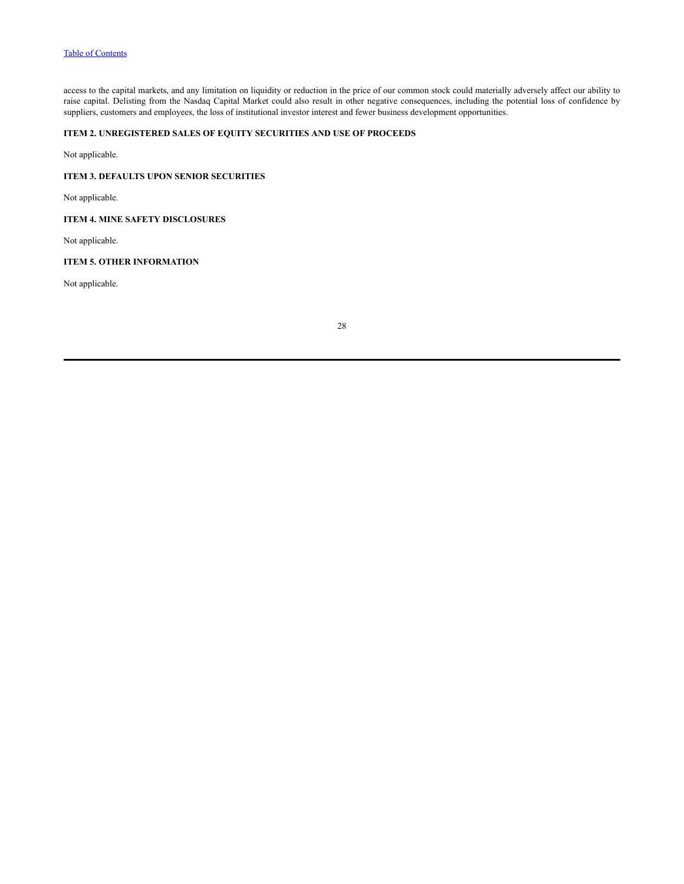access to the capital markets, and any limitation on liquidity or reduction in the price of our common stock could materially adversely affect our ability to raise capital. Delisting from the Nasdaq Capital Market could also result in other negative consequences, including the potential loss of confidence by suppliers, customers and employees, the loss of institutional investor interest and fewer business development opportunities.

# <span id="page-29-0"></span>**ITEM 2. UNREGISTERED SALES OF EQUITY SECURITIES AND USE OF PROCEEDS**

Not applicable.

### <span id="page-29-1"></span>**ITEM 3. DEFAULTS UPON SENIOR SECURITIES**

Not applicable.

# <span id="page-29-2"></span>**ITEM 4. MINE SAFETY DISCLOSURES**

Not applicable.

### <span id="page-29-3"></span>**ITEM 5. OTHER INFORMATION**

Not applicable.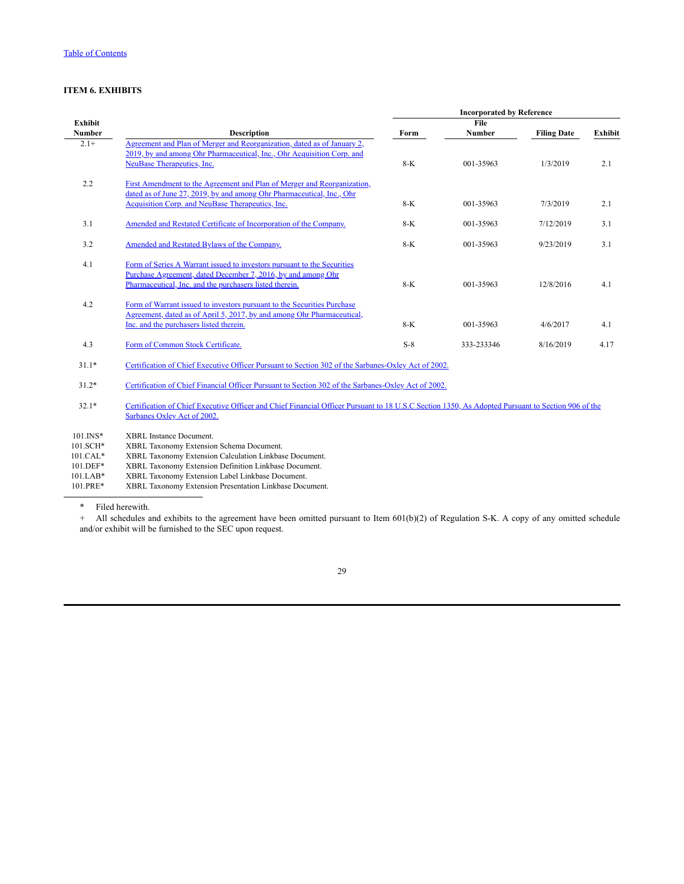# <span id="page-30-0"></span>**ITEM 6. EXHIBITS**

|               |                                                                                                     | <b>Incorporated by Reference</b> |               |                    |                |
|---------------|-----------------------------------------------------------------------------------------------------|----------------------------------|---------------|--------------------|----------------|
| Exhibit       |                                                                                                     |                                  | File          |                    |                |
| <b>Number</b> | <b>Description</b>                                                                                  | Form                             | <b>Number</b> | <b>Filing Date</b> | <b>Exhibit</b> |
| $2.1+$        | Agreement and Plan of Merger and Reorganization, dated as of January 2,                             |                                  |               |                    |                |
|               | 2019, by and among Ohr Pharmaceutical, Inc., Ohr Acquisition Corp. and                              |                                  |               |                    |                |
|               | <b>NeuBase Therapeutics, Inc.</b>                                                                   | 8-K                              | 001-35963     | 1/3/2019           | 2.1            |
| 2.2           | First Amendment to the Agreement and Plan of Merger and Reorganization,                             |                                  |               |                    |                |
|               | dated as of June 27, 2019, by and among Ohr Pharmaceutical, Inc., Ohr                               |                                  |               |                    |                |
|               | Acquisition Corp. and NeuBase Therapeutics, Inc.                                                    | $8-K$                            | 001-35963     | 7/3/2019           | 2.1            |
|               |                                                                                                     |                                  |               |                    |                |
| 3.1           | Amended and Restated Certificate of Incorporation of the Company.                                   | $8-K$                            | 001-35963     | 7/12/2019          | 3.1            |
|               |                                                                                                     |                                  |               |                    |                |
| 3.2           | Amended and Restated Bylaws of the Company.                                                         | $8-K$                            | 001-35963     | 9/23/2019          | 3.1            |
|               |                                                                                                     |                                  |               |                    |                |
| 4.1           | Form of Series A Warrant issued to investors pursuant to the Securities                             |                                  |               |                    |                |
|               | Purchase Agreement, dated December 7, 2016, by and among Ohr                                        |                                  |               |                    |                |
|               | Pharmaceutical, Inc. and the purchasers listed therein.                                             | $8-K$                            | 001-35963     | 12/8/2016          | 4.1            |
|               |                                                                                                     |                                  |               |                    |                |
| 4.2           | Form of Warrant issued to investors pursuant to the Securities Purchase                             |                                  |               |                    |                |
|               | Agreement, dated as of April 5, 2017, by and among Ohr Pharmaceutical,                              |                                  |               |                    |                |
|               | Inc. and the purchasers listed therein.                                                             | $8-K$                            | 001-35963     | 4/6/2017           | 4.1            |
|               |                                                                                                     |                                  |               |                    |                |
| 4.3           | Form of Common Stock Certificate.                                                                   | $S-8$                            | 333-233346    | 8/16/2019          | 4.17           |
|               |                                                                                                     |                                  |               |                    |                |
| $31.1*$       | Certification of Chief Executive Officer Pursuant to Section 302 of the Sarbanes-Oxley Act of 2002. |                                  |               |                    |                |
|               |                                                                                                     |                                  |               |                    |                |

31.2\* [Certification of Chief Financial Officer Pursuant to Section 302 of the Sarbanes-Oxley Act of 2002.](https://s3.amazonaws.com/content.stockpr.com/sec/0001410578-22-001383/tmb-20220331xex31d2.htm)

32.1\* [Certification of Chief Executive Officer and Chief Financial Officer Pursuant to 18 U.S.C Section 1350, As Adopted Pursuant to Section 906 of the](https://s3.amazonaws.com/content.stockpr.com/sec/0001410578-22-001383/tmb-20220331xex32d1.htm) Sarbanes Oxley Act of 2002.

101.INS\* XBRL Instance Document.

101.SCH\* XBRL Taxonomy Extension Schema Document. 101.CAL\* XBRL Taxonomy Extension Calculation Linkbase Document.<br>101.DEF\* XBRL Taxonomy Extension Definition Linkbase Document. XBRL Taxonomy Extension Definition Linkbase Document.

101.LAB\* XBRL Taxonomy Extension Label Linkbase Document.

101.PRE\* XBRL Taxonomy Extension Presentation Linkbase Document.

\* Filed herewith.

+ All schedules and exhibits to the agreement have been omitted pursuant to Item 601(b)(2) of Regulation S-K. A copy of any omitted schedule and/or exhibit will be furnished to the SEC upon request.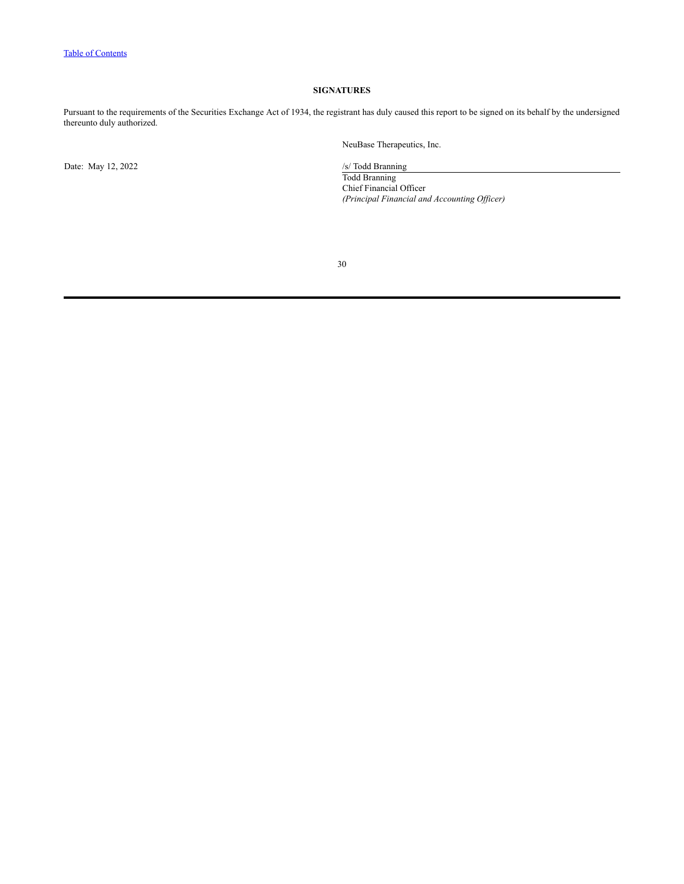# **SIGNATURES**

<span id="page-31-0"></span>Pursuant to the requirements of the Securities Exchange Act of 1934, the registrant has duly caused this report to be signed on its behalf by the undersigned thereunto duly authorized.

Date: May 12, 2022 /s/ Todd Branning

NeuBase Therapeutics, Inc.

Todd Branning Chief Financial Officer *(Principal Financial and Accounting Of icer)*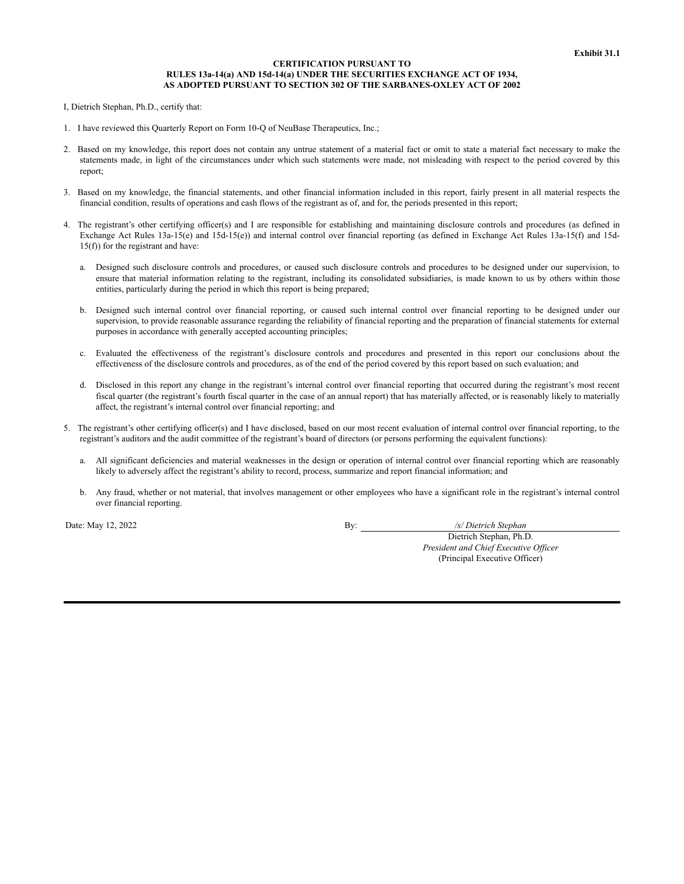#### **CERTIFICATION PURSUANT TO RULES 13a-14(a) AND 15d-14(a) UNDER THE SECURITIES EXCHANGE ACT OF 1934, AS ADOPTED PURSUANT TO SECTION 302 OF THE SARBANES-OXLEY ACT OF 2002**

I, Dietrich Stephan, Ph.D., certify that:

- 1. I have reviewed this Quarterly Report on Form 10-Q of NeuBase Therapeutics, Inc.;
- 2. Based on my knowledge, this report does not contain any untrue statement of a material fact or omit to state a material fact necessary to make the statements made, in light of the circumstances under which such statements were made, not misleading with respect to the period covered by this report;
- 3. Based on my knowledge, the financial statements, and other financial information included in this report, fairly present in all material respects the financial condition, results of operations and cash flows of the registrant as of, and for, the periods presented in this report;
- 4. The registrant's other certifying officer(s) and I are responsible for establishing and maintaining disclosure controls and procedures (as defined in Exchange Act Rules 13a-15(e) and 15d-15(e)) and internal control over financial reporting (as defined in Exchange Act Rules 13a-15(f) and 15d-15(f)) for the registrant and have:
	- a. Designed such disclosure controls and procedures, or caused such disclosure controls and procedures to be designed under our supervision, to ensure that material information relating to the registrant, including its consolidated subsidiaries, is made known to us by others within those entities, particularly during the period in which this report is being prepared;
	- b. Designed such internal control over financial reporting, or caused such internal control over financial reporting to be designed under our supervision, to provide reasonable assurance regarding the reliability of financial reporting and the preparation of financial statements for external purposes in accordance with generally accepted accounting principles;
	- c. Evaluated the effectiveness of the registrant's disclosure controls and procedures and presented in this report our conclusions about the effectiveness of the disclosure controls and procedures, as of the end of the period covered by this report based on such evaluation; and
	- d. Disclosed in this report any change in the registrant's internal control over financial reporting that occurred during the registrant's most recent fiscal quarter (the registrant's fourth fiscal quarter in the case of an annual report) that has materially affected, or is reasonably likely to materially affect, the registrant's internal control over financial reporting; and
- 5. The registrant's other certifying officer(s) and I have disclosed, based on our most recent evaluation of internal control over financial reporting, to the registrant's auditors and the audit committee of the registrant's board of directors (or persons performing the equivalent functions):
	- a. All significant deficiencies and material weaknesses in the design or operation of internal control over financial reporting which are reasonably likely to adversely affect the registrant's ability to record, process, summarize and report financial information; and
	- b. Any fraud, whether or not material, that involves management or other employees who have a significant role in the registrant's internal control over financial reporting.

Date: May 12, 2022 By: */s/ Dietrich Stephan*

Dietrich Stephan, Ph.D. *President and Chief Executive Of icer* (Principal Executive Officer)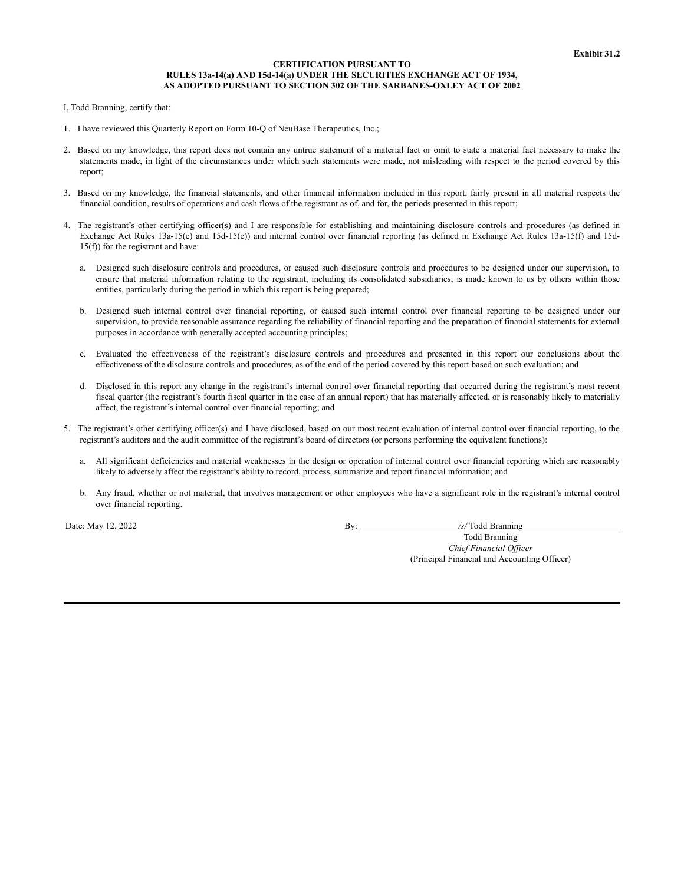#### **CERTIFICATION PURSUANT TO RULES 13a-14(a) AND 15d-14(a) UNDER THE SECURITIES EXCHANGE ACT OF 1934, AS ADOPTED PURSUANT TO SECTION 302 OF THE SARBANES-OXLEY ACT OF 2002**

I, Todd Branning, certify that:

- 1. I have reviewed this Quarterly Report on Form 10-Q of NeuBase Therapeutics, Inc.;
- 2. Based on my knowledge, this report does not contain any untrue statement of a material fact or omit to state a material fact necessary to make the statements made, in light of the circumstances under which such statements were made, not misleading with respect to the period covered by this report;
- 3. Based on my knowledge, the financial statements, and other financial information included in this report, fairly present in all material respects the financial condition, results of operations and cash flows of the registrant as of, and for, the periods presented in this report;
- 4. The registrant's other certifying officer(s) and I are responsible for establishing and maintaining disclosure controls and procedures (as defined in Exchange Act Rules 13a-15(e) and 15d-15(e)) and internal control over financial reporting (as defined in Exchange Act Rules 13a-15(f) and 15d-15(f)) for the registrant and have:
	- a. Designed such disclosure controls and procedures, or caused such disclosure controls and procedures to be designed under our supervision, to ensure that material information relating to the registrant, including its consolidated subsidiaries, is made known to us by others within those entities, particularly during the period in which this report is being prepared;
	- b. Designed such internal control over financial reporting, or caused such internal control over financial reporting to be designed under our supervision, to provide reasonable assurance regarding the reliability of financial reporting and the preparation of financial statements for external purposes in accordance with generally accepted accounting principles;
	- c. Evaluated the effectiveness of the registrant's disclosure controls and procedures and presented in this report our conclusions about the effectiveness of the disclosure controls and procedures, as of the end of the period covered by this report based on such evaluation; and
	- d. Disclosed in this report any change in the registrant's internal control over financial reporting that occurred during the registrant's most recent fiscal quarter (the registrant's fourth fiscal quarter in the case of an annual report) that has materially affected, or is reasonably likely to materially affect, the registrant's internal control over financial reporting; and
- 5. The registrant's other certifying officer(s) and I have disclosed, based on our most recent evaluation of internal control over financial reporting, to the registrant's auditors and the audit committee of the registrant's board of directors (or persons performing the equivalent functions):
	- a. All significant deficiencies and material weaknesses in the design or operation of internal control over financial reporting which are reasonably likely to adversely affect the registrant's ability to record, process, summarize and report financial information; and
	- b. Any fraud, whether or not material, that involves management or other employees who have a significant role in the registrant's internal control over financial reporting.

Date: May 12, 2022 By: */s/* Todd Branning

Todd Branning *Chief Financial Of icer* (Principal Financial and Accounting Officer)